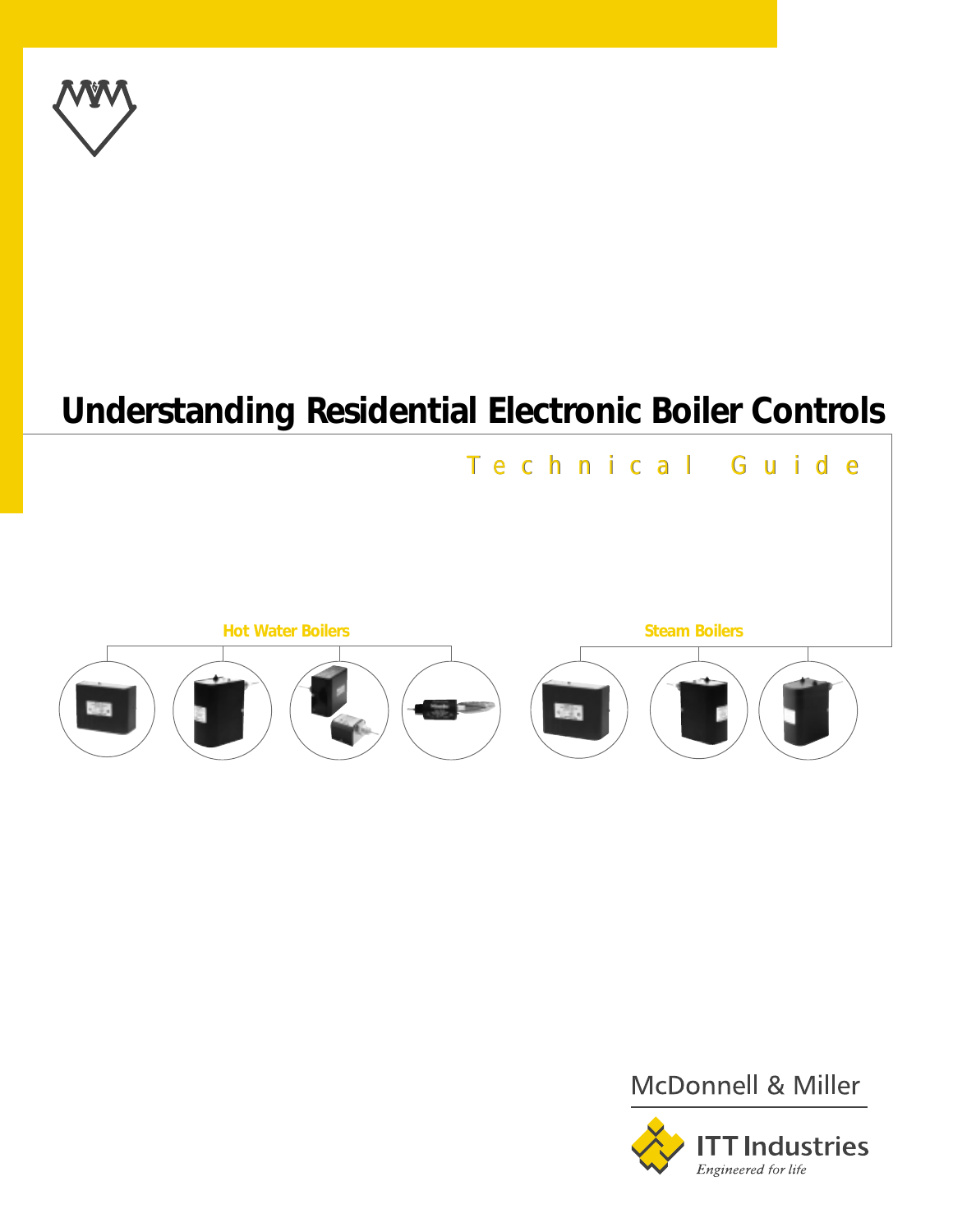

# **Understanding Residential Electronic Boiler Controls**







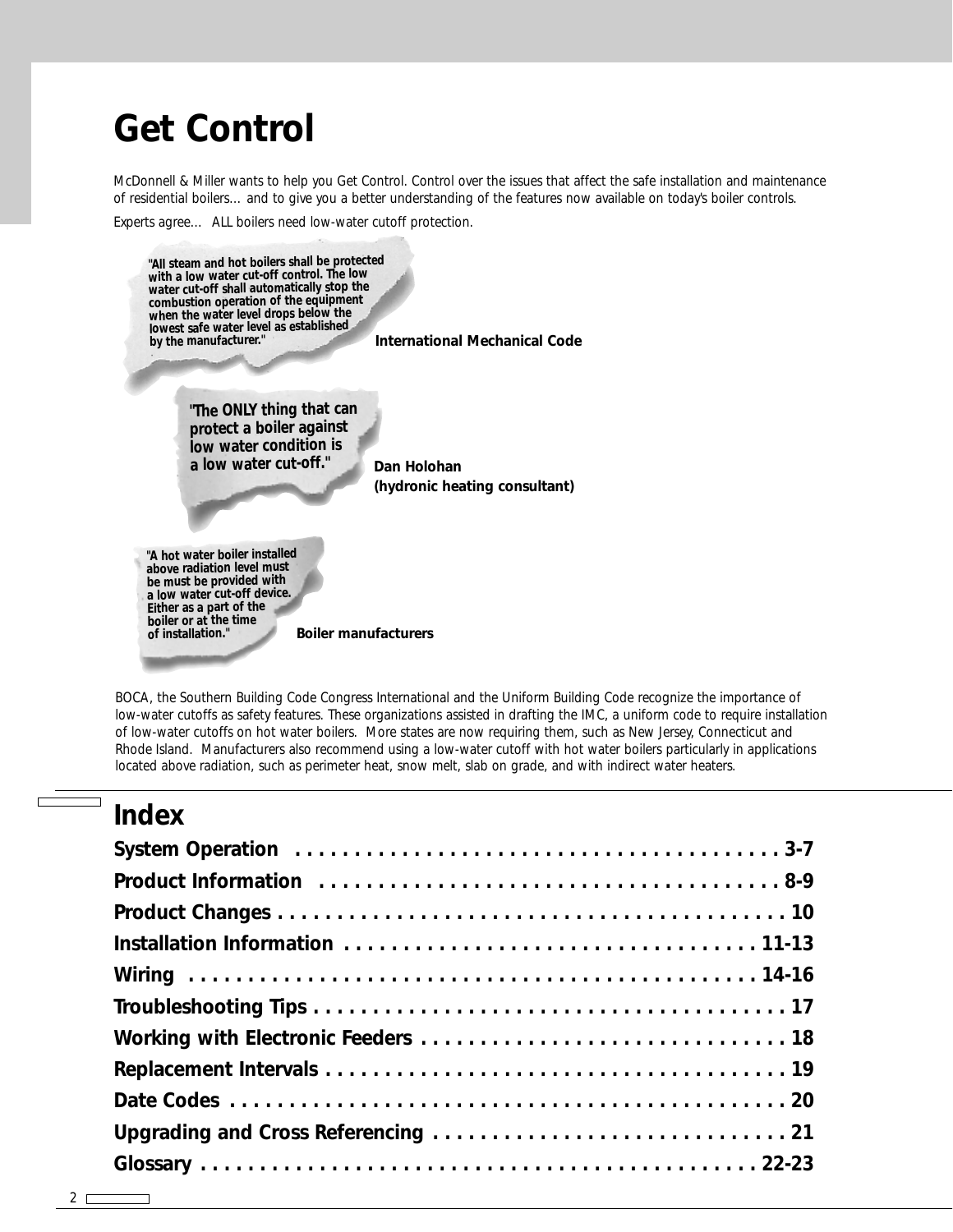# **Get Control**

McDonnell & Miller wants to help you Get Control. Control over the issues that affect the safe installation and maintenance of residential boilers… and to give you a better understanding of the features now available on today's boiler controls.

Experts agree… ALL boilers need low-water cutoff protection.



BOCA, the Southern Building Code Congress International and the Uniform Building Code recognize the importance of low-water cutoffs as safety features. These organizations assisted in drafting the IMC, a uniform code to require installation of low-water cutoffs on hot water boilers. More states are now requiring them, such as New Jersey, Connecticut and Rhode Island. Manufacturers also recommend using a low-water cutoff with hot water boilers particularly in applications located above radiation, such as perimeter heat, snow melt, slab on grade, and with indirect water heaters.

# **Index**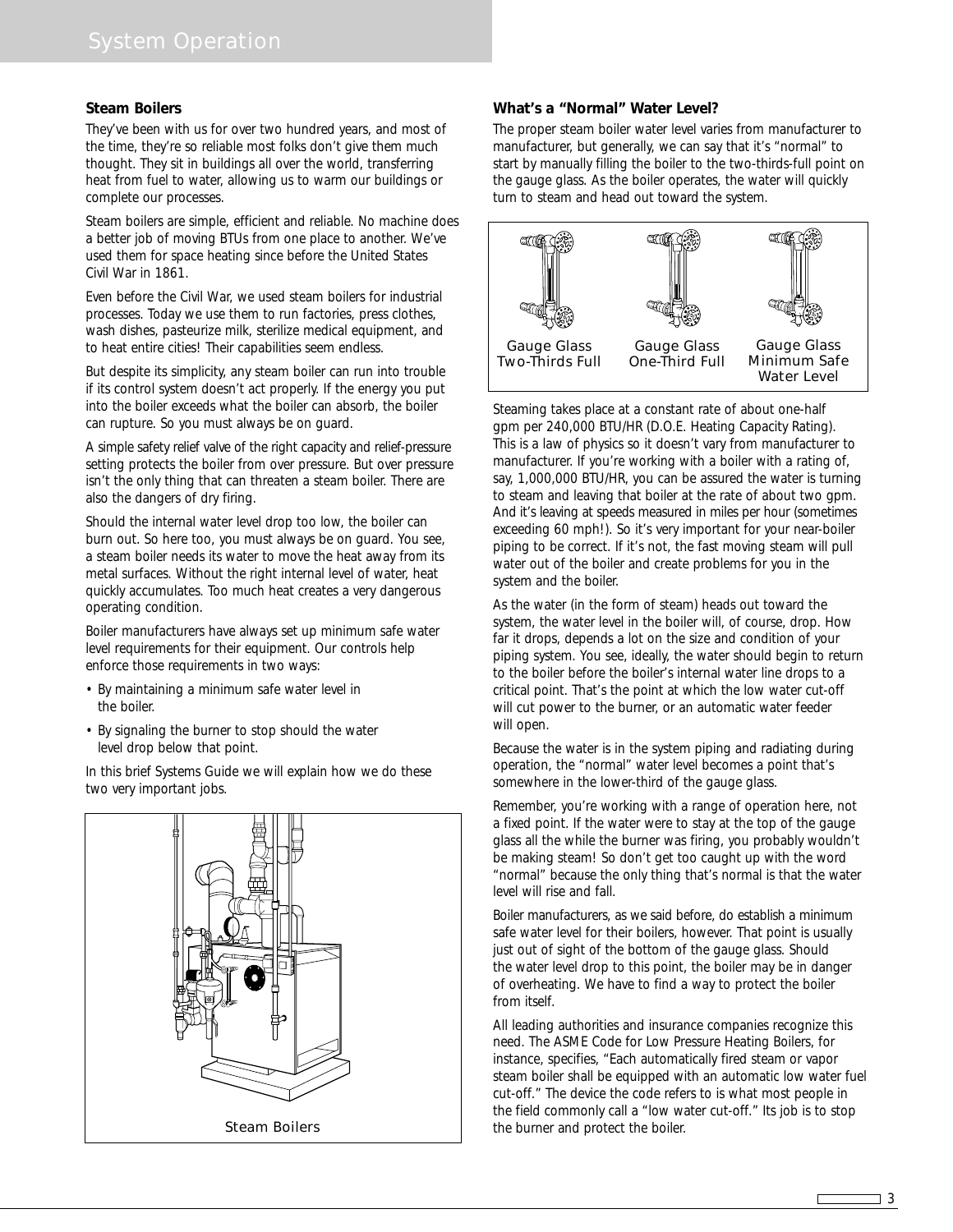#### **Steam Boilers**

They've been with us for over two hundred years, and most of the time, they're so reliable most folks don't give them much thought. They sit in buildings all over the world, transferring heat from fuel to water, allowing us to warm our buildings or complete our processes.

Steam boilers are simple, efficient and reliable. No machine does a better job of moving BTUs from one place to another. We've used them for space heating since before the United States Civil War in 1861.

Even before the Civil War, we used steam boilers for industrial processes. Today we use them to run factories, press clothes, wash dishes, pasteurize milk, sterilize medical equipment, and to heat entire cities! Their capabilities seem endless.

But despite its simplicity, any steam boiler can run into trouble if its control system doesn't act properly. If the energy you put into the boiler exceeds what the boiler can absorb, the boiler can rupture. So you must always be on guard.

A simple safety relief valve of the right capacity and relief-pressure setting protects the boiler from over pressure. But over pressure isn't the only thing that can threaten a steam boiler. There are also the dangers of dry firing.

Should the internal water level drop too low, the boiler can burn out. So here too, you must always be on guard. You see, a steam boiler needs its water to move the heat away from its metal surfaces. Without the right internal level of water, heat quickly accumulates. Too much heat creates a very dangerous operating condition.

Boiler manufacturers have always set up minimum safe water level requirements for their equipment. Our controls help enforce those requirements in two ways:

- By maintaining a minimum safe water level in the boiler.
- By signaling the burner to stop should the water level drop below that point.

In this brief Systems Guide we will explain how we do these two very important jobs.



#### **What's a "Normal" Water Level?**

The proper steam boiler water level varies from manufacturer to manufacturer, but generally, we can say that it's "normal" to start by manually filling the boiler to the two-thirds-full point on the gauge glass. As the boiler operates, the water will quickly turn to steam and head out toward the system.



Steaming takes place at a constant rate of about one-half gpm per 240,000 BTU/HR (D.O.E. Heating Capacity Rating). This is a law of physics so it doesn't vary from manufacturer to manufacturer. If you're working with a boiler with a rating of, say, 1,000,000 BTU/HR, you can be assured the water is turning to steam and leaving that boiler at the rate of about two gpm. And it's leaving at speeds measured in miles per hour (sometimes exceeding 60 mph!). So it's very important for your near-boiler piping to be correct. If it's not, the fast moving steam will pull water out of the boiler and create problems for you in the system and the boiler.

As the water (in the form of steam) heads out toward the system, the water level in the boiler will, of course, drop. How far it drops, depends a lot on the size and condition of your piping system. You see, ideally, the water should begin to return to the boiler before the boiler's internal water line drops to a critical point. That's the point at which the low water cut-off will cut power to the burner, or an automatic water feeder will open.

Because the water is in the system piping and radiating during operation, the "normal" water level becomes a point that's somewhere in the lower-third of the gauge glass.

Remember, you're working with a range of operation here, not a fixed point. If the water were to stay at the top of the gauge glass all the while the burner was firing, you probably wouldn't be making steam! So don't get too caught up with the word "normal" because the only thing that's normal is that the water level will rise and fall.

Boiler manufacturers, as we said before, do establish a minimum safe water level for their boilers, however. That point is usually just out of sight of the bottom of the gauge glass. Should the water level drop to this point, the boiler may be in danger of overheating. We have to find a way to protect the boiler from itself.

All leading authorities and insurance companies recognize this need. The ASME Code for Low Pressure Heating Boilers, for instance, specifies, "Each automatically fired steam or vapor steam boiler shall be equipped with an automatic low water fuel cut-off." The device the code refers to is what most people in the field commonly call a "low water cut-off." Its job is to stop the burner and protect the boiler.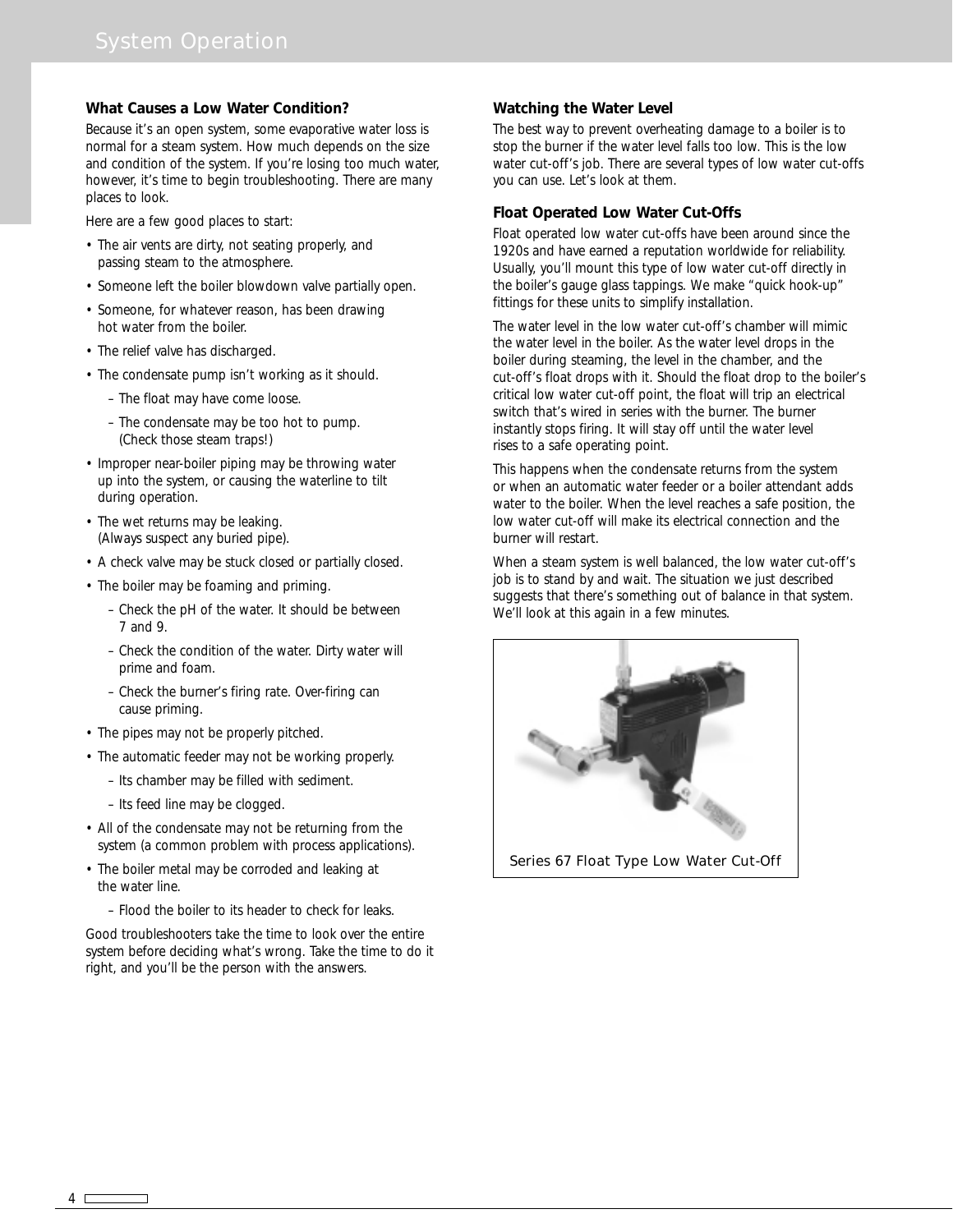#### **What Causes a Low Water Condition?**

Because it's an open system, some evaporative water loss is normal for a steam system. How much depends on the size and condition of the system. If you're losing too much water, however, it's time to begin troubleshooting. There are many places to look.

Here are a few good places to start:

- The air vents are dirty, not seating properly, and passing steam to the atmosphere.
- Someone left the boiler blowdown valve partially open.
- Someone, for whatever reason, has been drawing hot water from the boiler.
- The relief valve has discharged.
- The condensate pump isn't working as it should.
	- The float may have come loose.
	- The condensate may be too hot to pump. (Check those steam traps!)
- Improper near-boiler piping may be throwing water up into the system, or causing the waterline to tilt during operation.
- The wet returns may be leaking. (Always suspect any buried pipe).
- A check valve may be stuck closed or partially closed.
- The boiler may be foaming and priming.
	- Check the pH of the water. It should be between 7 and 9.
	- Check the condition of the water. Dirty water will prime and foam.
	- Check the burner's firing rate. Over-firing can cause priming.
- The pipes may not be properly pitched.
- The automatic feeder may not be working properly.
	- Its chamber may be filled with sediment.
	- Its feed line may be clogged.
- All of the condensate may not be returning from the system (a common problem with process applications).
- The boiler metal may be corroded and leaking at the water line.
	- Flood the boiler to its header to check for leaks.

Good troubleshooters take the time to look over the entire system before deciding what's wrong. Take the time to do it right, and you'll be the person with the answers.

#### **Watching the Water Level**

The best way to prevent overheating damage to a boiler is to stop the burner if the water level falls too low. This is the low water cut-off's job. There are several types of low water cut-offs you can use. Let's look at them.

#### **Float Operated Low Water Cut-Offs**

Float operated low water cut-offs have been around since the 1920s and have earned a reputation worldwide for reliability. Usually, you'll mount this type of low water cut-off directly in the boiler's gauge glass tappings. We make "quick hook-up" fittings for these units to simplify installation.

The water level in the low water cut-off's chamber will mimic the water level in the boiler. As the water level drops in the boiler during steaming, the level in the chamber, and the cut-off's float drops with it. Should the float drop to the boiler's critical low water cut-off point, the float will trip an electrical switch that's wired in series with the burner. The burner instantly stops firing. It will stay off until the water level rises to a safe operating point.

This happens when the condensate returns from the system or when an automatic water feeder or a boiler attendant adds water to the boiler. When the level reaches a safe position, the low water cut-off will make its electrical connection and the burner will restart.

When a steam system is well balanced, the low water cut-off's job is to stand by and wait. The situation we just described suggests that there's something out of balance in that system. We'll look at this again in a few minutes.



Series 67 Float Type Low Water Cut-Off

4  $\Box$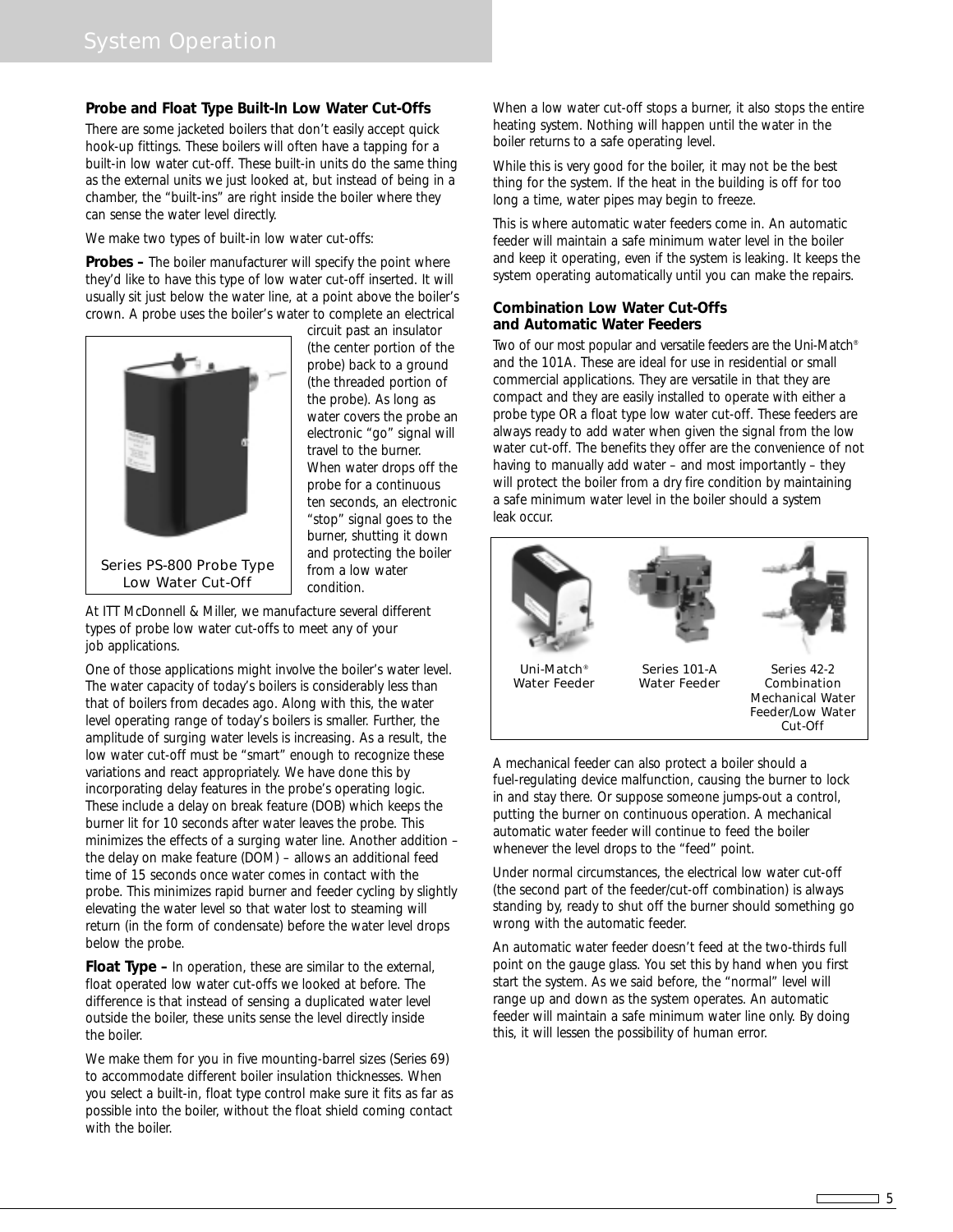#### **Probe and Float Type Built-In Low Water Cut-Offs**

There are some jacketed boilers that don't easily accept quick hook-up fittings. These boilers will often have a tapping for a built-in low water cut-off. These built-in units do the same thing as the external units we just looked at, but instead of being in a chamber, the "built-ins" are right inside the boiler where they can sense the water level directly.

We make two types of built-in low water cut-offs:

**Probes –** The boiler manufacturer will specify the point where they'd like to have this type of low water cut-off inserted. It will usually sit just below the water line, at a point above the boiler's crown. A probe uses the boiler's water to complete an electrical



circuit past an insulator (the center portion of the probe) back to a ground (the threaded portion of the probe). As long as water covers the probe an electronic "go" signal will travel to the burner. When water drops off the probe for a continuous ten seconds, an electronic "stop" signal goes to the burner, shutting it down and protecting the boiler from a low water condition.

At ITT McDonnell & Miller, we manufacture several different types of probe low water cut-offs to meet any of your job applications.

One of those applications might involve the boiler's water level. The water capacity of today's boilers is considerably less than that of boilers from decades ago. Along with this, the water level operating range of today's boilers is smaller. Further, the amplitude of surging water levels is increasing. As a result, the low water cut-off must be "smart" enough to recognize these variations and react appropriately. We have done this by incorporating delay features in the probe's operating logic. These include a delay on break feature (DOB) which keeps the burner lit for 10 seconds after water leaves the probe. This minimizes the effects of a surging water line. Another addition – the delay on make feature (DOM) – allows an additional feed time of 15 seconds once water comes in contact with the probe. This minimizes rapid burner and feeder cycling by slightly elevating the water level so that water lost to steaming will return (in the form of condensate) before the water level drops below the probe.

**Float Type –** In operation, these are similar to the external, float operated low water cut-offs we looked at before. The difference is that instead of sensing a duplicated water level outside the boiler, these units sense the level directly inside the boiler.

We make them for you in five mounting-barrel sizes (Series 69) to accommodate different boiler insulation thicknesses. When you select a built-in, float type control make sure it fits as far as possible into the boiler, without the float shield coming contact with the boiler.

When a low water cut-off stops a burner, it also stops the entire heating system. Nothing will happen until the water in the boiler returns to a safe operating level.

While this is very good for the boiler, it may not be the best thing for the system. If the heat in the building is off for too long a time, water pipes may begin to freeze.

This is where automatic water feeders come in. An automatic feeder will maintain a safe minimum water level in the boiler and keep it operating, even if the system is leaking. It keeps the system operating automatically until you can make the repairs.

#### **Combination Low Water Cut-Offs and Automatic Water Feeders**

Two of our most popular and versatile feeders are the Uni-Match® and the 101A. These are ideal for use in residential or small commercial applications. They are versatile in that they are compact and they are easily installed to operate with either a probe type OR a float type low water cut-off. These feeders are always ready to add water when given the signal from the low water cut-off. The benefits they offer are the convenience of not having to manually add water – and most importantly – they will protect the boiler from a dry fire condition by maintaining a safe minimum water level in the boiler should a system leak occur.



A mechanical feeder can also protect a boiler should a fuel-regulating device malfunction, causing the burner to lock in and stay there. Or suppose someone jumps-out a control, putting the burner on continuous operation. A mechanical automatic water feeder will continue to feed the boiler whenever the level drops to the "feed" point.

Under normal circumstances, the electrical low water cut-off (the second part of the feeder/cut-off combination) is always standing by, ready to shut off the burner should something go wrong with the automatic feeder.

An automatic water feeder doesn't feed at the two-thirds full point on the gauge glass. You set this by hand when you first start the system. As we said before, the "normal" level will range up and down as the system operates. An automatic feeder will maintain a safe minimum water line only. By doing this, it will lessen the possibility of human error.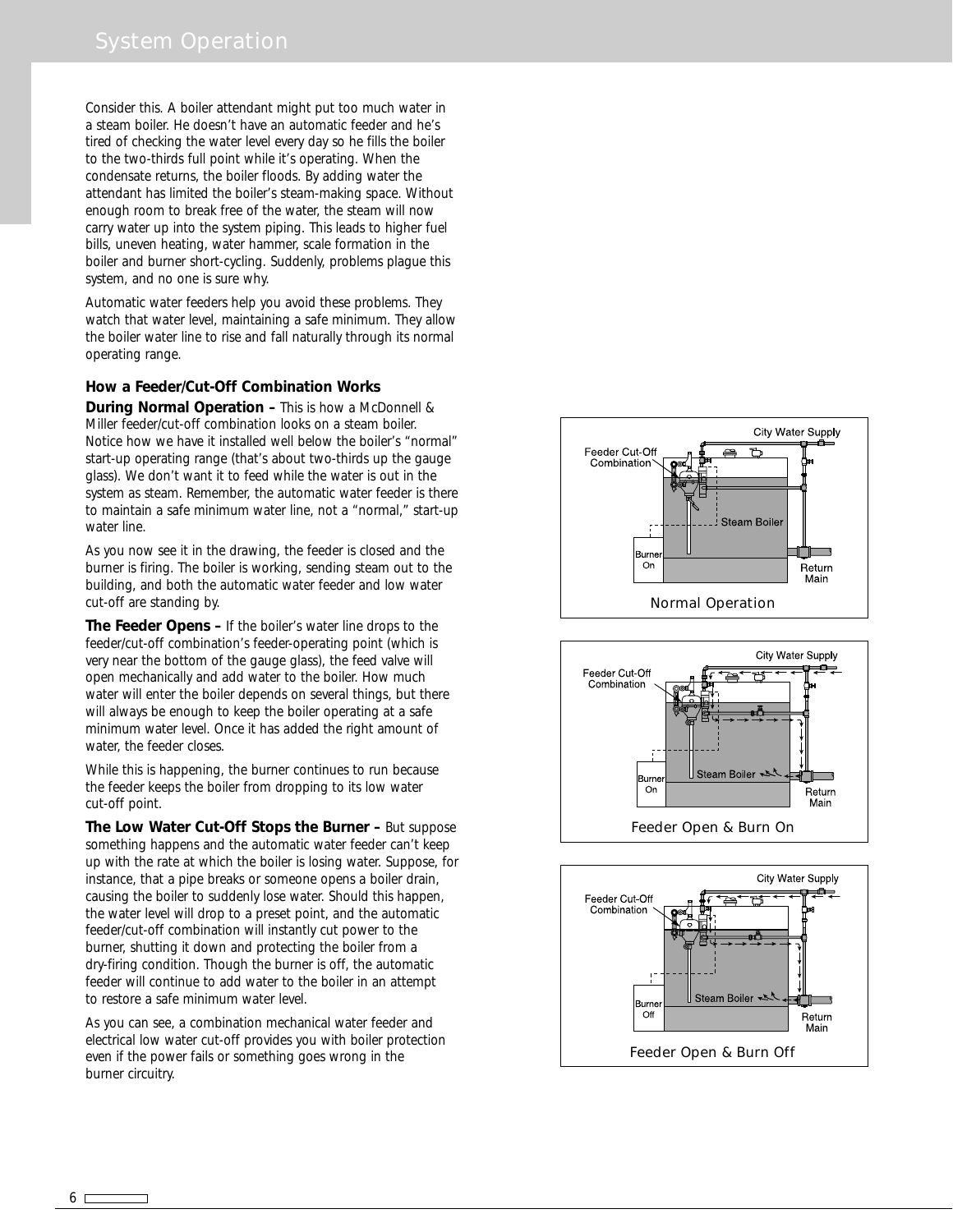Consider this. A boiler attendant might put too much water in a steam boiler. He doesn't have an automatic feeder and he's tired of checking the water level every day so he fills the boiler to the two-thirds full point while it's operating. When the condensate returns, the boiler floods. By adding water the attendant has limited the boiler's steam-making space. Without enough room to break free of the water, the steam will now carry water up into the system piping. This leads to higher fuel bills, uneven heating, water hammer, scale formation in the boiler and burner short-cycling. Suddenly, problems plague this system, and no one is sure why.

Automatic water feeders help you avoid these problems. They watch that water level, maintaining a safe minimum. They allow the boiler water line to rise and fall naturally through its normal operating range.

#### **How a Feeder/Cut-Off Combination Works**

**During Normal Operation –** This is how a McDonnell & Miller feeder/cut-off combination looks on a steam boiler. Notice how we have it installed well below the boiler's "normal" start-up operating range (that's about two-thirds up the gauge glass). We don't want it to feed while the water is out in the system as steam. Remember, the automatic water feeder is there to maintain a safe minimum water line, not a "normal," start-up water line.

As you now see it in the drawing, the feeder is closed and the burner is firing. The boiler is working, sending steam out to the building, and both the automatic water feeder and low water cut-off are standing by.

**The Feeder Opens –** If the boiler's water line drops to the feeder/cut-off combination's feeder-operating point (which is very near the bottom of the gauge glass), the feed valve will open mechanically and add water to the boiler. How much water will enter the boiler depends on several things, but there will always be enough to keep the boiler operating at a safe minimum water level. Once it has added the right amount of water, the feeder closes.

While this is happening, the burner continues to run because the feeder keeps the boiler from dropping to its low water cut-off point.

**The Low Water Cut-Off Stops the Burner –** But suppose something happens and the automatic water feeder can't keep up with the rate at which the boiler is losing water. Suppose, for instance, that a pipe breaks or someone opens a boiler drain, causing the boiler to suddenly lose water. Should this happen, the water level will drop to a preset point, and the automatic feeder/cut-off combination will instantly cut power to the burner, shutting it down and protecting the boiler from a dry-firing condition. Though the burner is off, the automatic feeder will continue to add water to the boiler in an attempt to restore a safe minimum water level.

As you can see, a combination mechanical water feeder and electrical low water cut-off provides you with boiler protection even if the power fails or something goes wrong in the burner circuitry.



Feeder Open & Burn On

Return Main

3um On



6 Г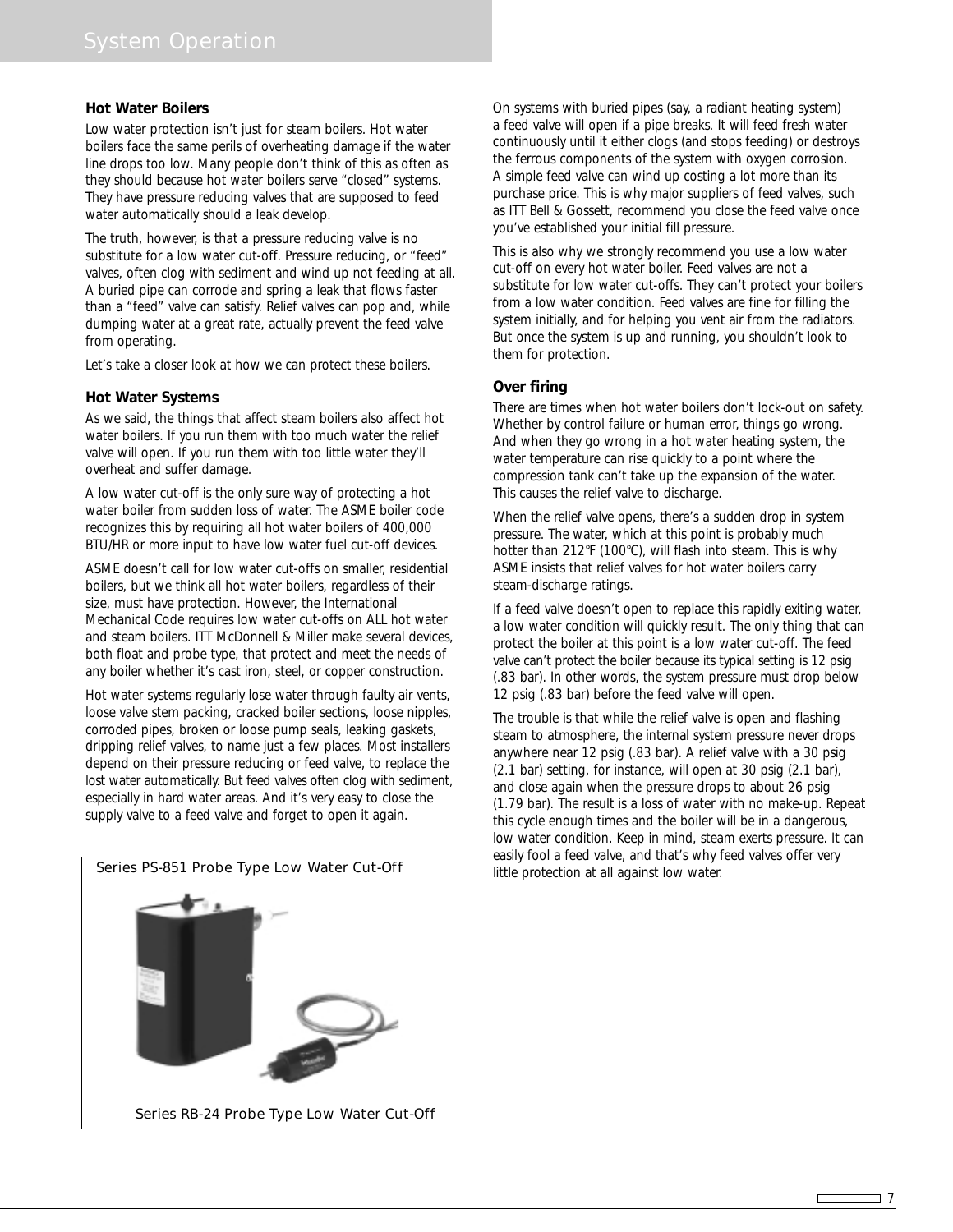#### **Hot Water Boilers**

Low water protection isn't just for steam boilers. Hot water boilers face the same perils of overheating damage if the water line drops too low. Many people don't think of this as often as they should because hot water boilers serve "closed" systems. They have pressure reducing valves that are supposed to feed water automatically should a leak develop.

The truth, however, is that a pressure reducing valve is no substitute for a low water cut-off. Pressure reducing, or "feed" valves, often clog with sediment and wind up not feeding at all. A buried pipe can corrode and spring a leak that flows faster than a "feed" valve can satisfy. Relief valves can pop and, while dumping water at a great rate, actually prevent the feed valve from operating.

Let's take a closer look at how we can protect these boilers.

#### **Hot Water Systems**

As we said, the things that affect steam boilers also affect hot water boilers. If you run them with too much water the relief valve will open. If you run them with too little water they'll overheat and suffer damage.

A low water cut-off is the only sure way of protecting a hot water boiler from sudden loss of water. The ASME boiler code recognizes this by requiring all hot water boilers of 400,000 BTU/HR or more input to have low water fuel cut-off devices.

ASME doesn't call for low water cut-offs on smaller, residential boilers, but we think all hot water boilers, regardless of their size, must have protection. However, the International Mechanical Code requires low water cut-offs on ALL hot water and steam boilers. ITT McDonnell & Miller make several devices, both float and probe type, that protect and meet the needs of any boiler whether it's cast iron, steel, or copper construction.

Hot water systems regularly lose water through faulty air vents, loose valve stem packing, cracked boiler sections, loose nipples, corroded pipes, broken or loose pump seals, leaking gaskets, dripping relief valves, to name just a few places. Most installers depend on their pressure reducing or feed valve, to replace the lost water automatically. But feed valves often clog with sediment, especially in hard water areas. And it's very easy to close the supply valve to a feed valve and forget to open it again.



On systems with buried pipes (say, a radiant heating system) a feed valve will open if a pipe breaks. It will feed fresh water continuously until it either clogs (and stops feeding) or destroys the ferrous components of the system with oxygen corrosion. A simple feed valve can wind up costing a lot more than its purchase price. This is why major suppliers of feed valves, such as ITT Bell & Gossett, recommend you close the feed valve once you've established your initial fill pressure.

This is also why we strongly recommend you use a low water cut-off on every hot water boiler. Feed valves are not a substitute for low water cut-offs. They can't protect your boilers from a low water condition. Feed valves are fine for filling the system initially, and for helping you vent air from the radiators. But once the system is up and running, you shouldn't look to them for protection.

#### **Over firing**

There are times when hot water boilers don't lock-out on safety. Whether by control failure or human error, things go wrong. And when they go wrong in a hot water heating system, the water temperature can rise quickly to a point where the compression tank can't take up the expansion of the water. This causes the relief valve to discharge.

When the relief valve opens, there's a sudden drop in system pressure. The water, which at this point is probably much hotter than 212°F (100°C), will flash into steam. This is why ASME insists that relief valves for hot water boilers carry steam-discharge ratings.

If a feed valve doesn't open to replace this rapidly exiting water, a low water condition will quickly result. The only thing that can protect the boiler at this point is a low water cut-off. The feed valve can't protect the boiler because its typical setting is 12 psig (.83 bar). In other words, the system pressure must drop below 12 psig (.83 bar) before the feed valve will open.

The trouble is that while the relief valve is open and flashing steam to atmosphere, the internal system pressure never drops anywhere near 12 psig (.83 bar). A relief valve with a 30 psig (2.1 bar) setting, for instance, will open at 30 psig (2.1 bar), and close again when the pressure drops to about 26 psig (1.79 bar). The result is a loss of water with no make-up. Repeat this cycle enough times and the boiler will be in a dangerous, low water condition. Keep in mind, steam exerts pressure. It can easily fool a feed valve, and that's why feed valves offer very little protection at all against low water.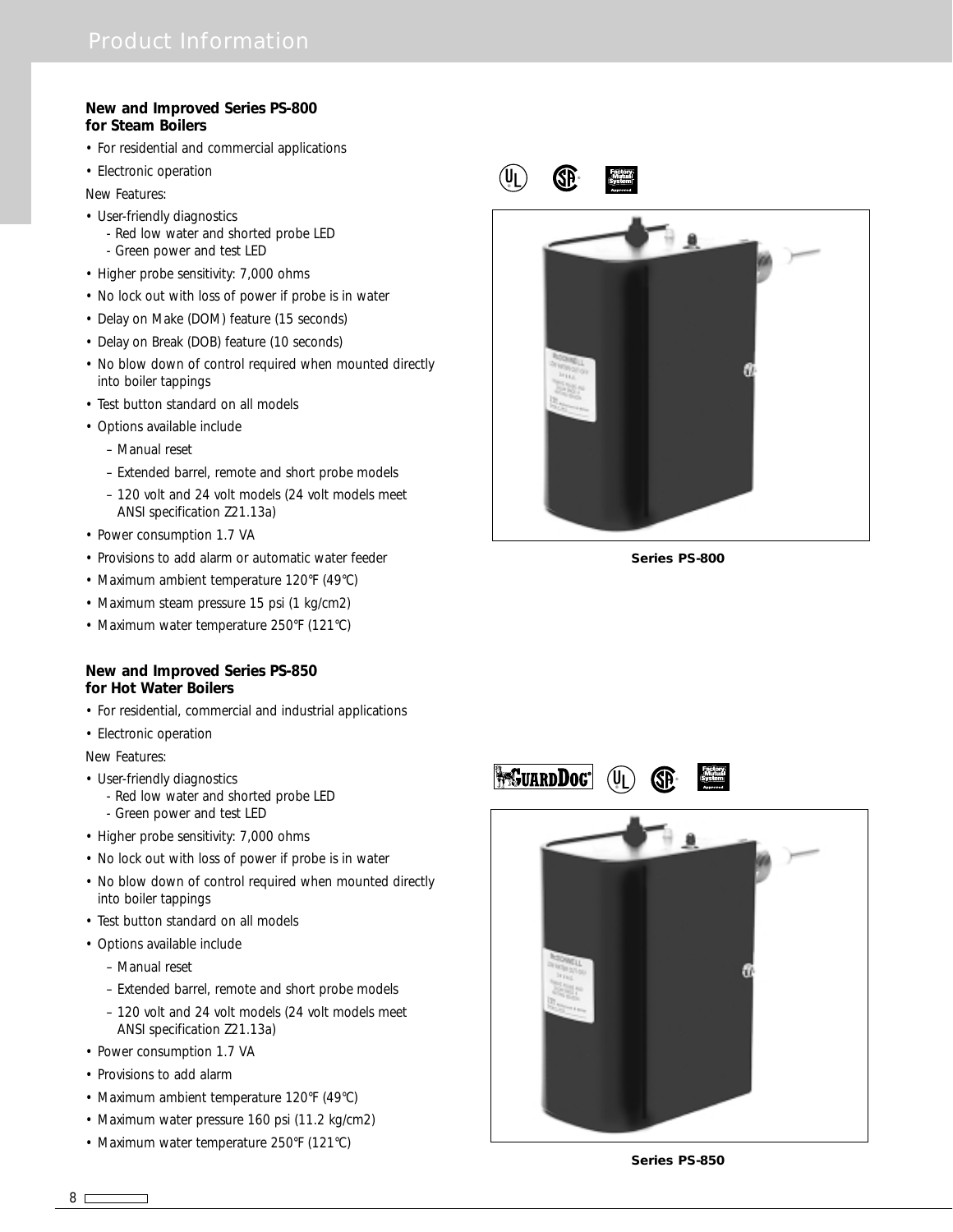#### **New and Improved Series PS-800 for Steam Boilers**

- For residential and commercial applications
- Electronic operation

New Features:

- User-friendly diagnostics
	- Red low water and shorted probe LED
- Green power and test LED
- Higher probe sensitivity: 7,000 ohms
- No lock out with loss of power if probe is in water
- Delay on Make (DOM) feature (15 seconds)
- Delay on Break (DOB) feature (10 seconds)
- No blow down of control required when mounted directly into boiler tappings
- Test button standard on all models
- Options available include
	- Manual reset
	- Extended barrel, remote and short probe models
	- 120 volt and 24 volt models (24 volt models meet ANSI specification Z21.13a)
- Power consumption 1.7 VA
- Provisions to add alarm or automatic water feeder
- Maximum ambient temperature 120°F (49°C)
- Maximum steam pressure 15 psi (1 kg/cm2)
- Maximum water temperature 250°F (121°C)

#### **New and Improved Series PS-850 for Hot Water Boilers**

- For residential, commercial and industrial applications
- Electronic operation

New Features:

- User-friendly diagnostics
	- Red low water and shorted probe LED
	- Green power and test LED
- Higher probe sensitivity: 7,000 ohms
- No lock out with loss of power if probe is in water
- No blow down of control required when mounted directly into boiler tappings
- Test button standard on all models
- Options available include
	- Manual reset
	- Extended barrel, remote and short probe models
	- 120 volt and 24 volt models (24 volt models meet ANSI specification Z21.13a)
- Power consumption 1.7 VA
- Provisions to add alarm
- Maximum ambient temperature 120°F (49°C)
- Maximum water pressure 160 psi (11.2 kg/cm2)
- Maximum water temperature 250°F (121°C)



**Series PS-800**

®



 $(\mathsf{U}_L)$ 

®



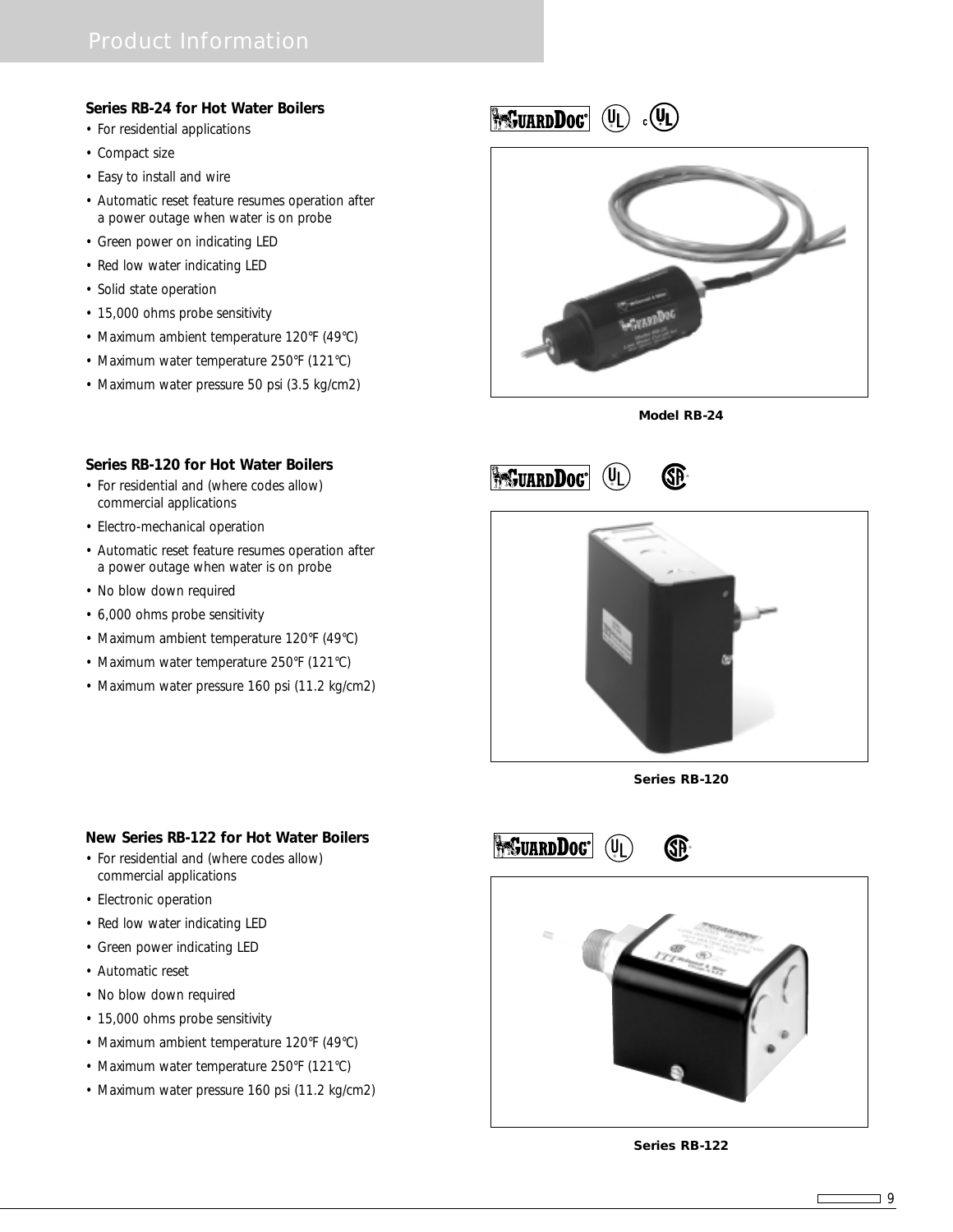### **Series RB-24 for Hot Water Boilers**

- For residential applications
- Compact size
- Easy to install and wire
- Automatic reset feature resumes operation after a power outage when water is on probe
- Green power on indicating LED
- Red low water indicating LED
- Solid state operation
- 15,000 ohms probe sensitivity
- Maximum ambient temperature 120°F (49°C)
- Maximum water temperature 250°F (121°C)
- Maximum water pressure 50 psi (3.5 kg/cm2)

**BESUARDDOG** (UL)  $_{c}(\Psi)$ 



**Model RB-24**





- commercial applications
- Electro-mechanical operation
- Automatic reset feature resumes operation after a power outage when water is on probe
- No blow down required
- 6,000 ohms probe sensitivity
- Maximum ambient temperature 120°F (49°C)
- Maximum water temperature 250°F (121°C)
- Maximum water pressure 160 psi (11.2 kg/cm2)



**Series RB-120**

®

(U∣

**PresuardDoc**®



- For residential and (where codes allow) commercial applications
- Electronic operation
- Red low water indicating LED
- Green power indicating LED
- Automatic reset
- No blow down required
- 15,000 ohms probe sensitivity
- Maximum ambient temperature 120°F (49°C)
- Maximum water temperature 250°F (121°C)
- Maximum water pressure 160 psi (11.2 kg/cm2)



**Series RB-122**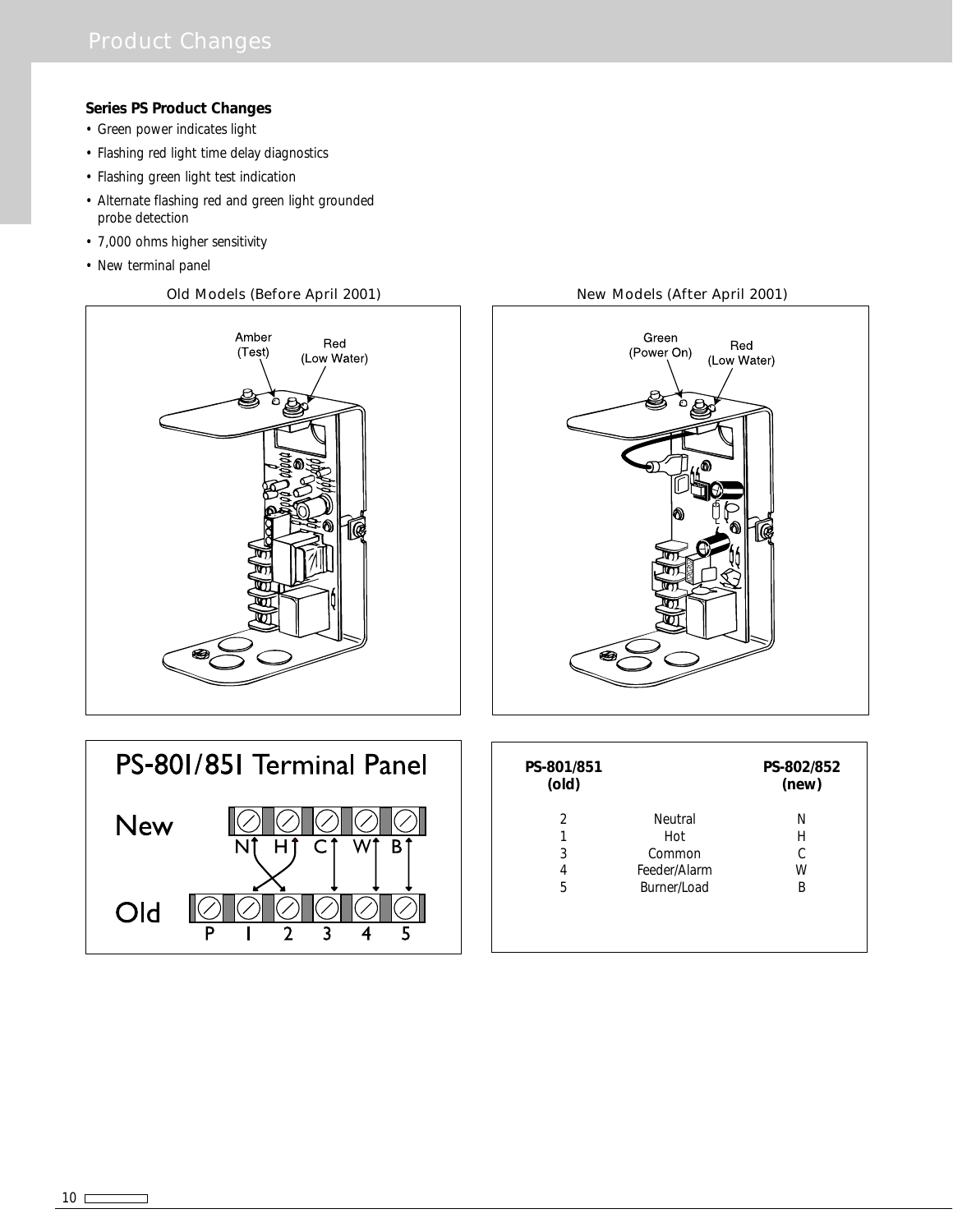### **Series PS Product Changes**

- Green power indicates light
- Flashing red light time delay diagnostics
- Flashing green light test indication
- Alternate flashing red and green light grounded probe detection
- 7,000 ohms higher sensitivity
- New terminal panel

#### Old Models (Before April 2001) New Models (After April 2001)





| PS-801/851 Terminal Panel |  |  |
|---------------------------|--|--|
| New                       |  |  |
| Old                       |  |  |

| PS-801/851<br>(old) |              | PS-802/852<br>(new) |
|---------------------|--------------|---------------------|
| 2                   | Neutral      | N                   |
| 1                   | Hot          | Н                   |
| 3                   | Common       |                     |
| 4                   | Feeder/Alarm | W                   |
| 5                   | Burner/Load  | B                   |
|                     |              |                     |
|                     |              |                     |
|                     |              |                     |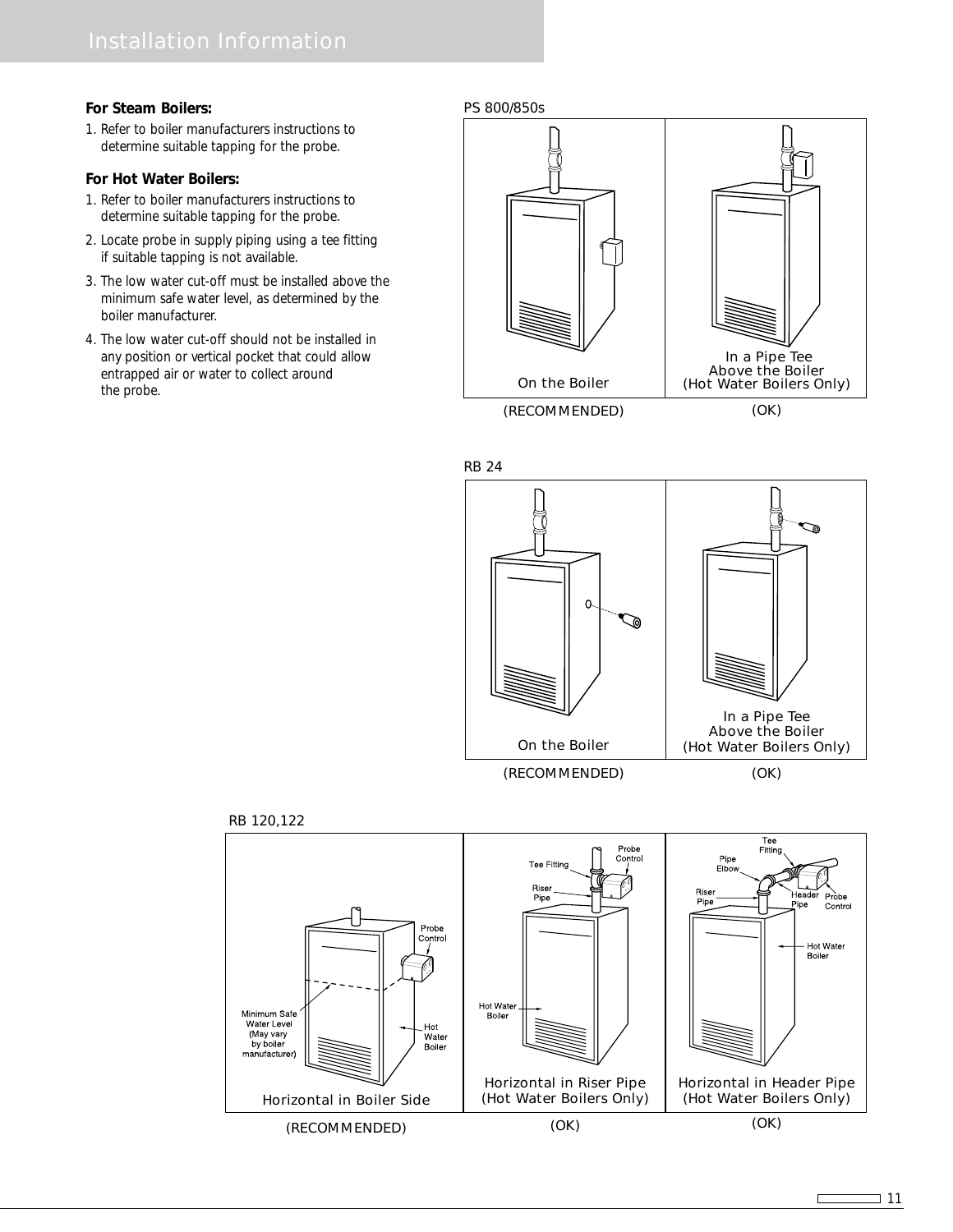#### **For Steam Boilers:**

1. Refer to boiler manufacturers instructions to determine suitable tapping for the probe.

#### **For Hot Water Boilers:**

- 1. Refer to boiler manufacturers instructions to determine suitable tapping for the probe.
- 2. Locate probe in supply piping using a tee fitting if suitable tapping is not available.
- 3. The low water cut-off must be installed above the minimum safe water level, as determined by the boiler manufacturer.
- 4. The low water cut-off should not be installed in any position or vertical pocket that could allow entrapped air or water to collect around the probe.

#### PS 800/850s



(RECOMMENDED)

(OK)





RB 120,122

Г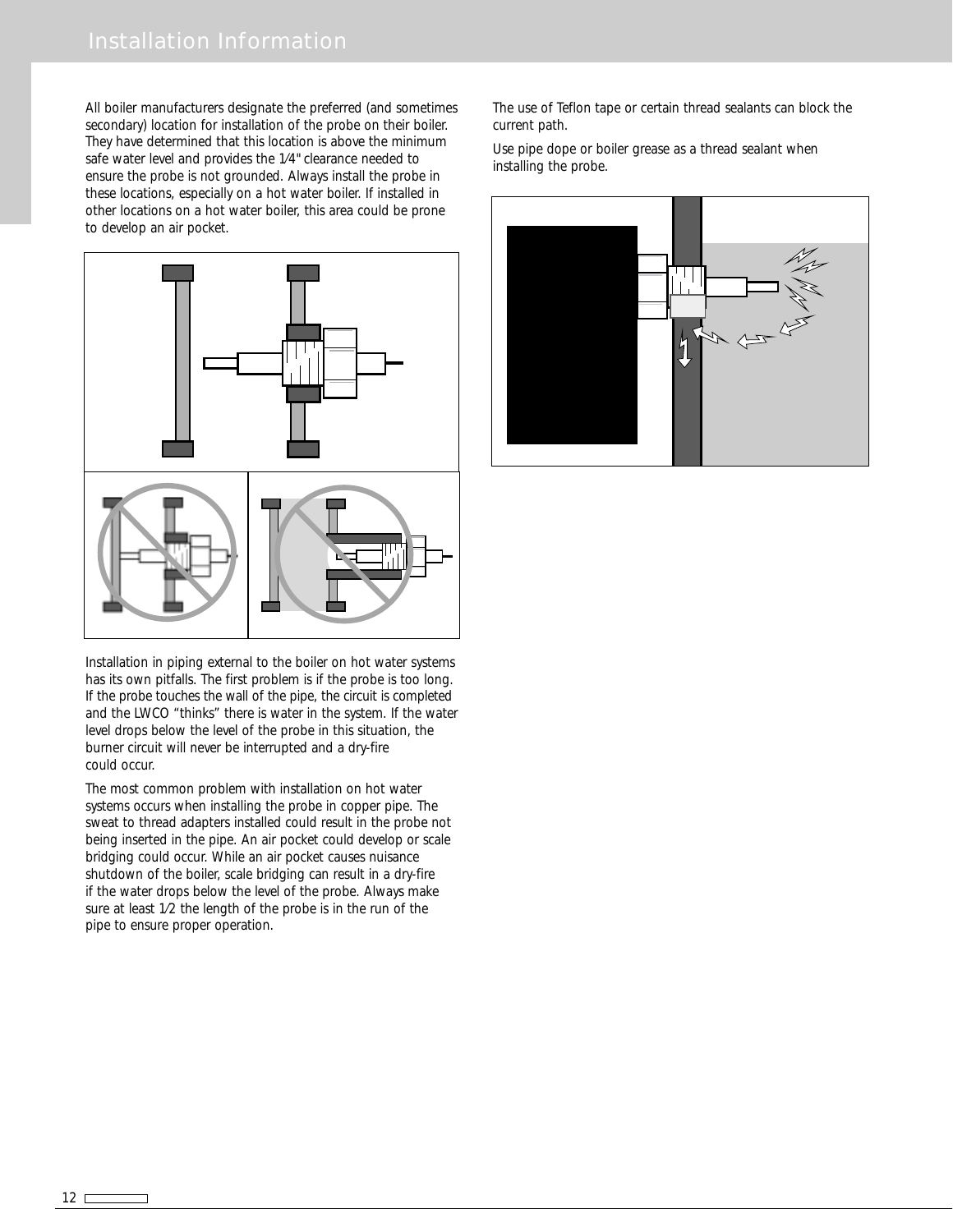All boiler manufacturers designate the preferred (and sometimes secondary) location for installation of the probe on their boiler. They have determined that this location is above the minimum safe water level and provides the 1⁄4" clearance needed to ensure the probe is not grounded. Always install the probe in these locations, especially on a hot water boiler. If installed in other locations on a hot water boiler, this area could be prone to develop an air pocket.



Installation in piping external to the boiler on hot water systems has its own pitfalls. The first problem is if the probe is too long. If the probe touches the wall of the pipe, the circuit is completed and the LWCO "thinks" there is water in the system. If the water level drops below the level of the probe in this situation, the burner circuit will never be interrupted and a dry-fire could occur.

The most common problem with installation on hot water systems occurs when installing the probe in copper pipe. The sweat to thread adapters installed could result in the probe not being inserted in the pipe. An air pocket could develop or scale bridging could occur. While an air pocket causes nuisance shutdown of the boiler, scale bridging can result in a dry-fire if the water drops below the level of the probe. Always make sure at least 1⁄2 the length of the probe is in the run of the pipe to ensure proper operation.

The use of Teflon tape or certain thread sealants can block the current path.

Use pipe dope or boiler grease as a thread sealant when installing the probe.



 $12 \equiv$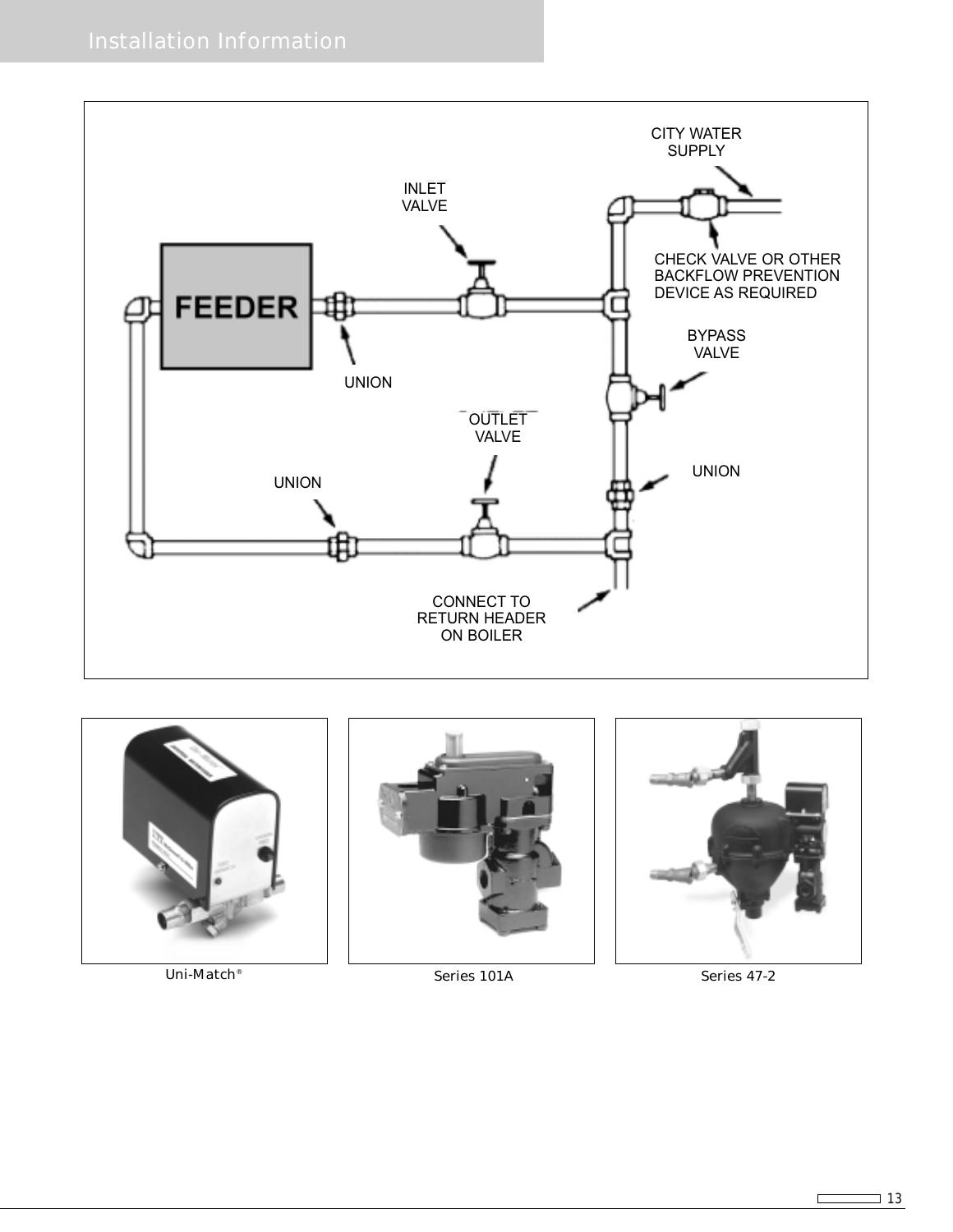





Uni-Match<sup>®</sup> Series 101A Series 101A

 $\Box$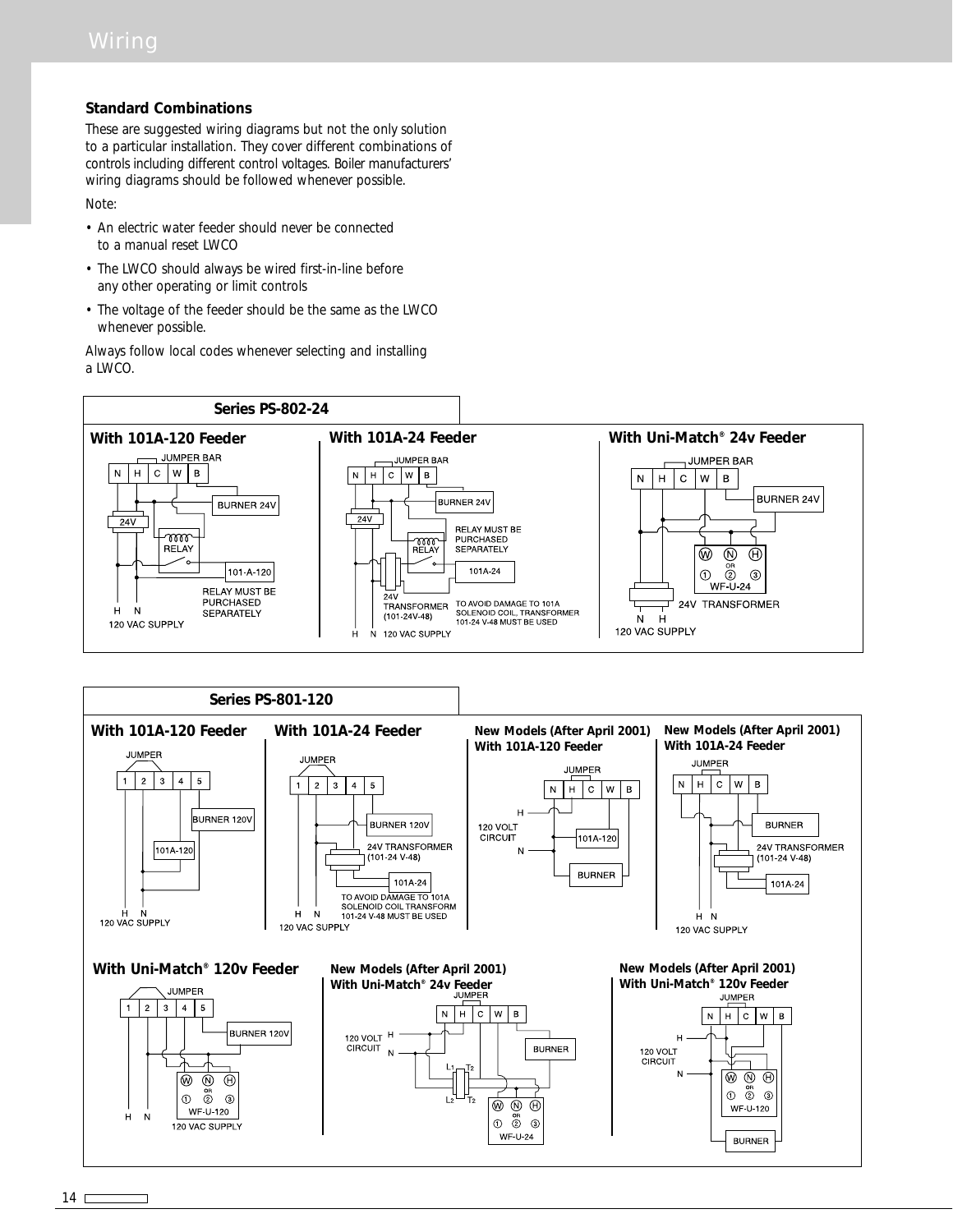#### **Standard Combinations**

These are suggested wiring diagrams but not the only solution to a particular installation. They cover different combinations of controls including different control voltages. Boiler manufacturers' wiring diagrams should be followed whenever possible. Note:

• An electric water feeder should never be connected to a manual reset LWCO

- The LWCO should always be wired first-in-line before any other operating or limit controls
- The voltage of the feeder should be the same as the LWCO whenever possible.

Always follow local codes whenever selecting and installing a LWCO.



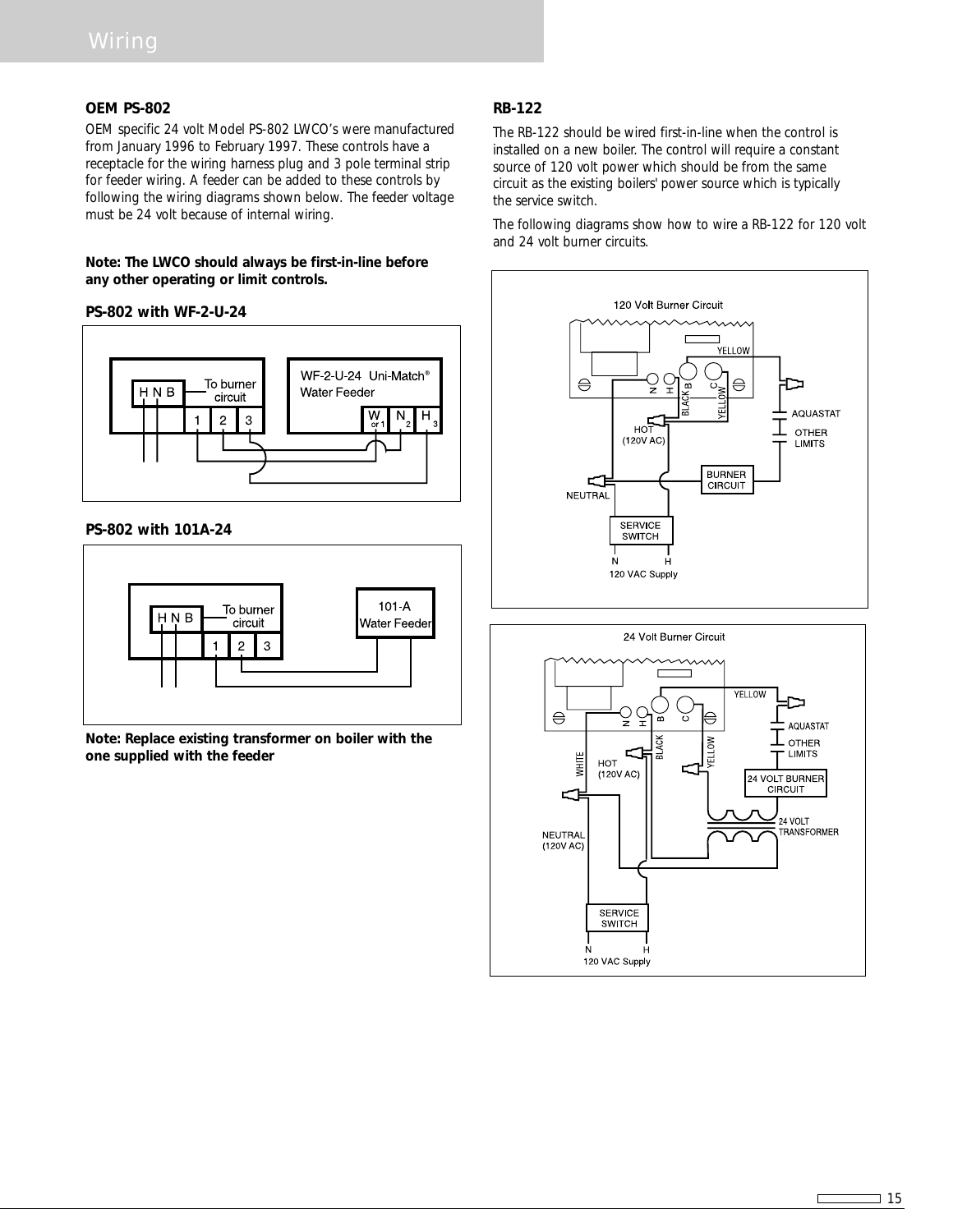#### **OEM PS-802**

OEM specific 24 volt Model PS-802 LWCO's were manufactured from January 1996 to February 1997. These controls have a receptacle for the wiring harness plug and 3 pole terminal strip for feeder wiring. A feeder can be added to these controls by following the wiring diagrams shown below. The feeder voltage must be 24 volt because of internal wiring.

#### **Note: The LWCO should always be first-in-line before any other operating or limit controls.**

#### **PS-802 with WF-2-U-24**



**PS-802 with 101A-24**



**Note: Replace existing transformer on boiler with the one supplied with the feeder**

#### **RB-122**

The RB-122 should be wired first-in-line when the control is installed on a new boiler. The control will require a constant source of 120 volt power which should be from the same circuit as the existing boilers' power source which is typically the service switch.

The following diagrams show how to wire a RB-122 for 120 volt and 24 volt burner circuits.





 $\Gamma$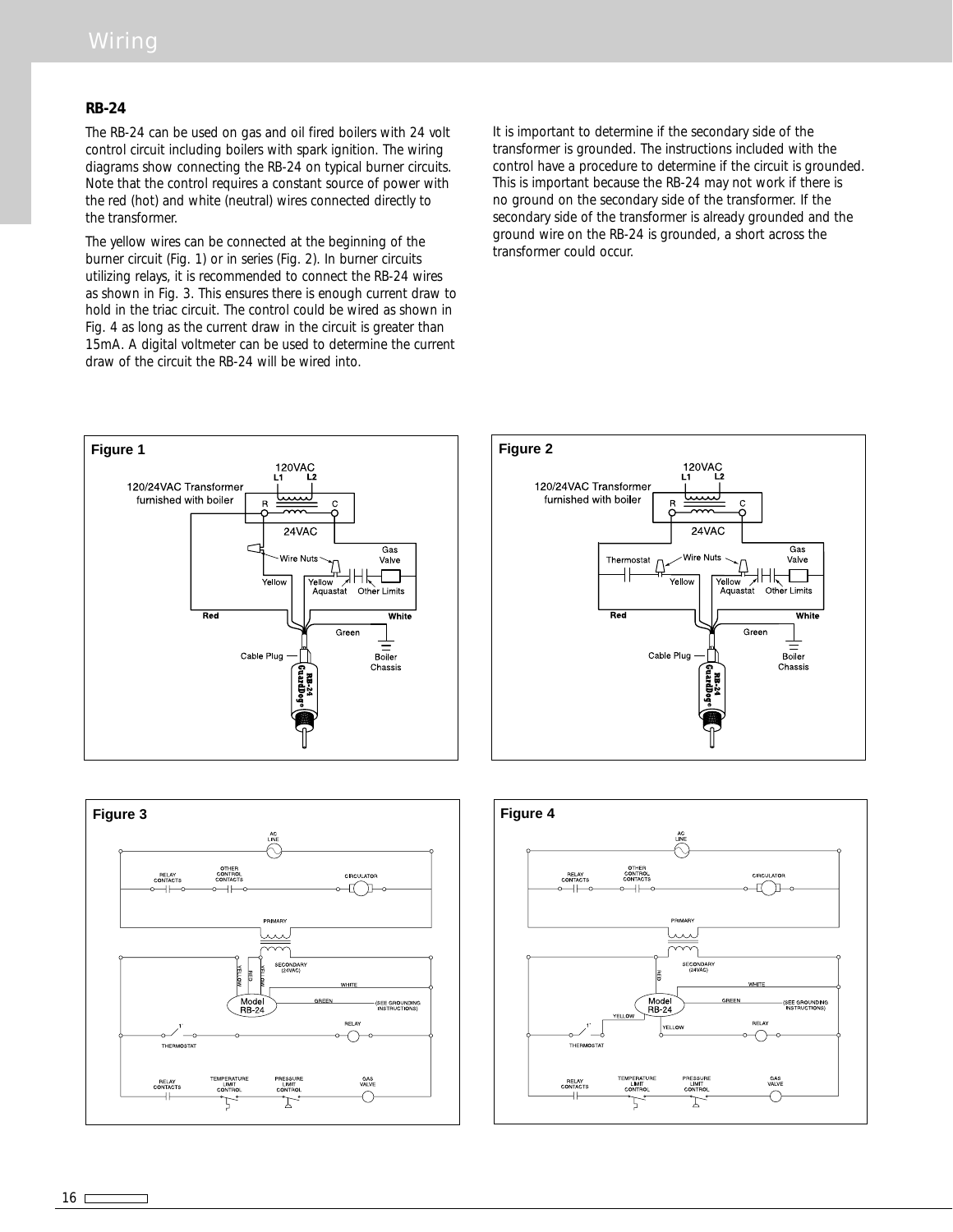#### **RB-24**

The RB-24 can be used on gas and oil fired boilers with 24 volt control circuit including boilers with spark ignition. The wiring diagrams show connecting the RB-24 on typical burner circuits. Note that the control requires a constant source of power with the red (hot) and white (neutral) wires connected directly to the transformer.

The yellow wires can be connected at the beginning of the burner circuit (Fig. 1) or in series (Fig. 2). In burner circuits utilizing relays, it is recommended to connect the RB-24 wires as shown in Fig. 3. This ensures there is enough current draw to hold in the triac circuit. The control could be wired as shown in Fig. 4 as long as the current draw in the circuit is greater than 15mA. A digital voltmeter can be used to determine the current draw of the circuit the RB-24 will be wired into.

It is important to determine if the secondary side of the transformer is grounded. The instructions included with the control have a procedure to determine if the circuit is grounded. This is important because the RB-24 may not work if there is no ground on the secondary side of the transformer. If the secondary side of the transformer is already grounded and the ground wire on the RB-24 is grounded, a short across the transformer could occur.







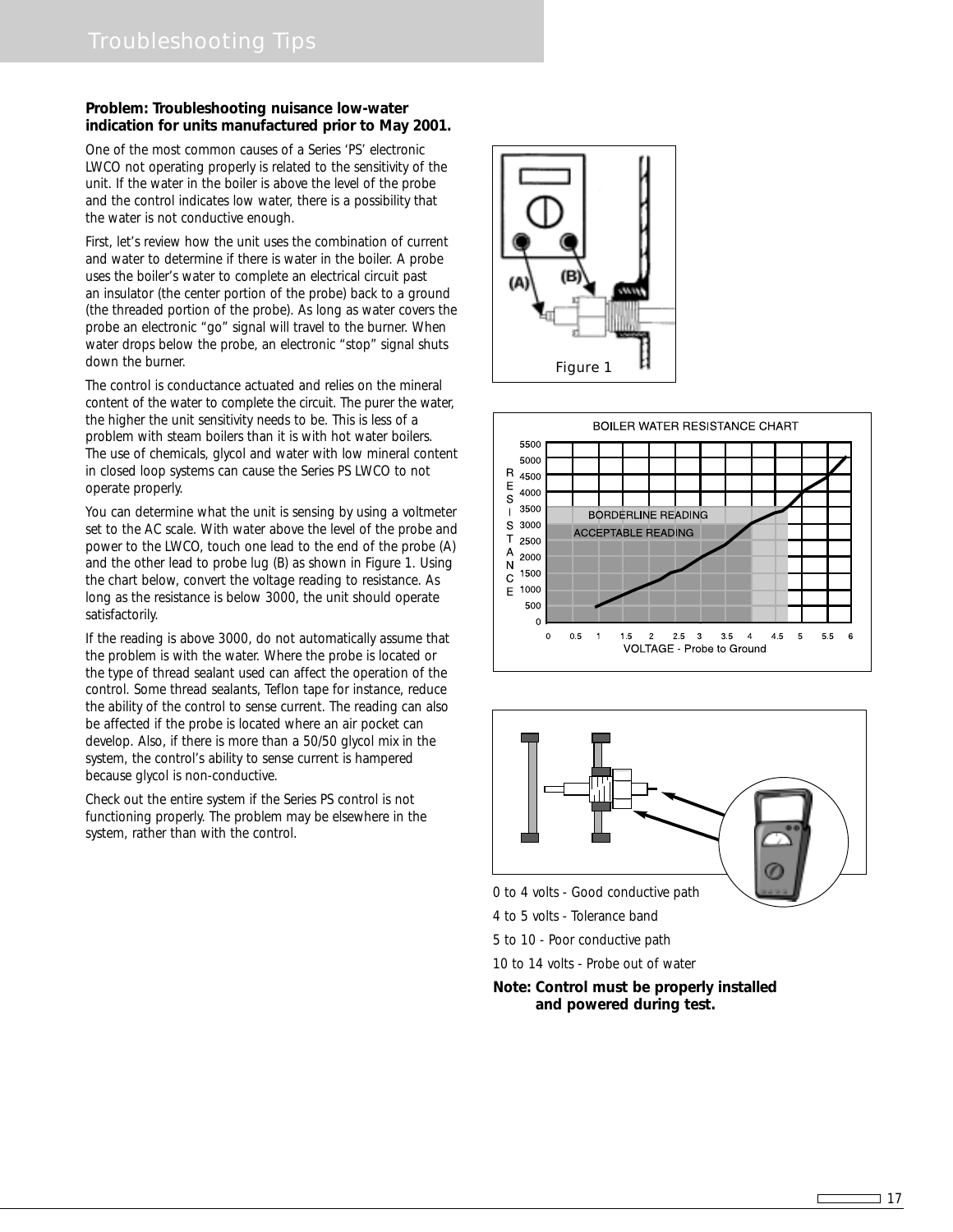#### **Problem: Troubleshooting nuisance low-water indication for units manufactured prior to May 2001.**

One of the most common causes of a Series 'PS' electronic LWCO not operating properly is related to the sensitivity of the unit. If the water in the boiler is above the level of the probe and the control indicates low water, there is a possibility that the water is not conductive enough.

First, let's review how the unit uses the combination of current and water to determine if there is water in the boiler. A probe uses the boiler's water to complete an electrical circuit past an insulator (the center portion of the probe) back to a ground (the threaded portion of the probe). As long as water covers the probe an electronic "go" signal will travel to the burner. When water drops below the probe, an electronic "stop" signal shuts down the burner.

The control is conductance actuated and relies on the mineral content of the water to complete the circuit. The purer the water, the higher the unit sensitivity needs to be. This is less of a problem with steam boilers than it is with hot water boilers. The use of chemicals, glycol and water with low mineral content in closed loop systems can cause the Series PS LWCO to not operate properly.

You can determine what the unit is sensing by using a voltmeter set to the AC scale. With water above the level of the probe and power to the LWCO, touch one lead to the end of the probe (A) and the other lead to probe lug (B) as shown in Figure 1. Using the chart below, convert the voltage reading to resistance. As long as the resistance is below 3000, the unit should operate satisfactorily.

If the reading is above 3000, do not automatically assume that the problem is with the water. Where the probe is located or the type of thread sealant used can affect the operation of the control. Some thread sealants, Teflon tape for instance, reduce the ability of the control to sense current. The reading can also be affected if the probe is located where an air pocket can develop. Also, if there is more than a 50/50 glycol mix in the system, the control's ability to sense current is hampered because glycol is non-conductive.

Check out the entire system if the Series PS control is not functioning properly. The problem may be elsewhere in the system, rather than with the control.







0 to 4 volts - Good conductive path

4 to 5 volts - Tolerance band

5 to 10 - Poor conductive path

10 to 14 volts - Probe out of water

#### **Note: Control must be properly installed and powered during test.**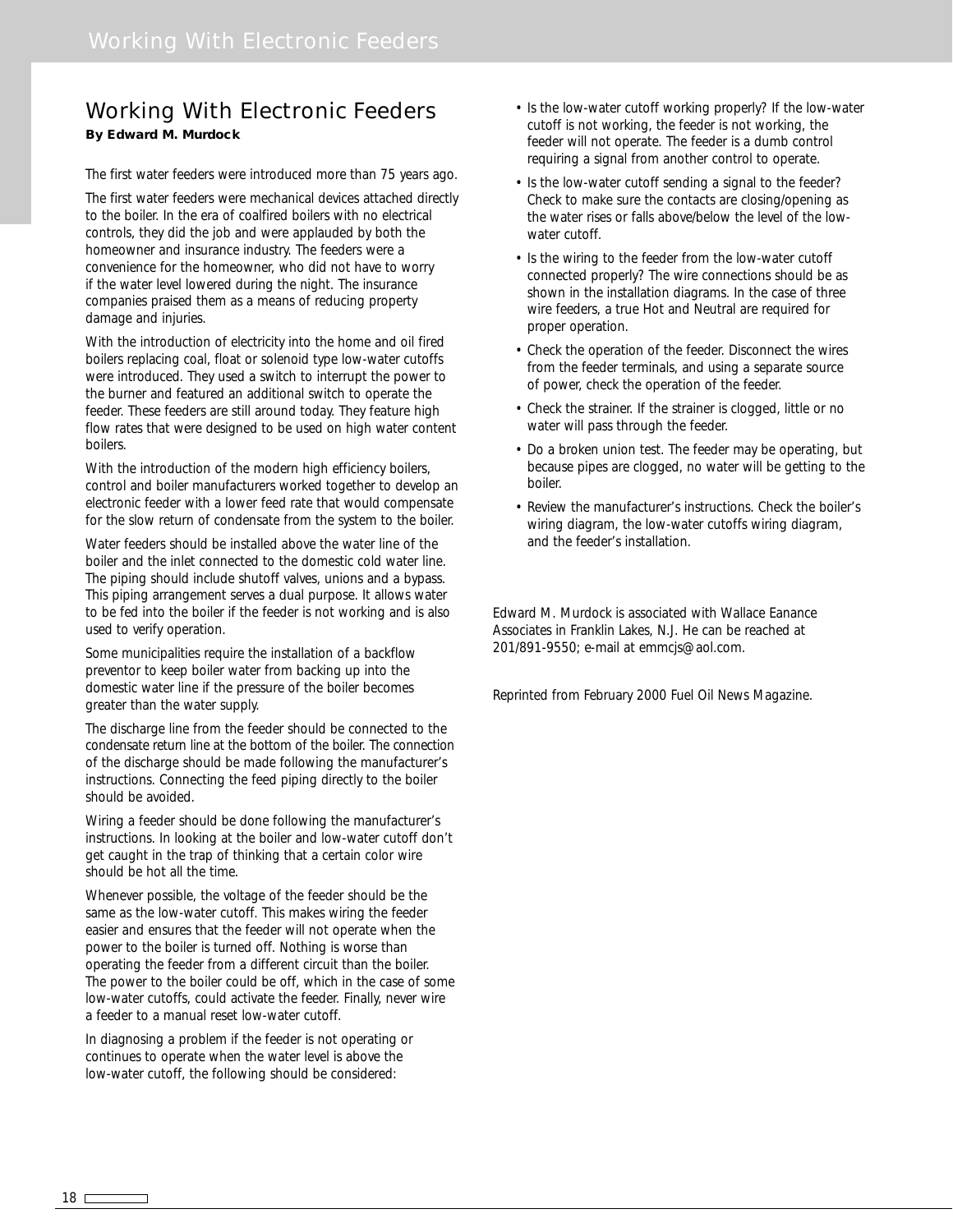## Working With Electronic Feeders **By Edward M. Murdock**

The first water feeders were introduced more than 75 years ago.

The first water feeders were mechanical devices attached directly to the boiler. In the era of coalfired boilers with no electrical controls, they did the job and were applauded by both the homeowner and insurance industry. The feeders were a convenience for the homeowner, who did not have to worry if the water level lowered during the night. The insurance companies praised them as a means of reducing property damage and injuries.

With the introduction of electricity into the home and oil fired boilers replacing coal, float or solenoid type low-water cutoffs were introduced. They used a switch to interrupt the power to the burner and featured an additional switch to operate the feeder. These feeders are still around today. They feature high flow rates that were designed to be used on high water content boilers.

With the introduction of the modern high efficiency boilers, control and boiler manufacturers worked together to develop an electronic feeder with a lower feed rate that would compensate for the slow return of condensate from the system to the boiler.

Water feeders should be installed above the water line of the boiler and the inlet connected to the domestic cold water line. The piping should include shutoff valves, unions and a bypass. This piping arrangement serves a dual purpose. It allows water to be fed into the boiler if the feeder is not working and is also used to verify operation.

Some municipalities require the installation of a backflow preventor to keep boiler water from backing up into the domestic water line if the pressure of the boiler becomes greater than the water supply.

The discharge line from the feeder should be connected to the condensate return line at the bottom of the boiler. The connection of the discharge should be made following the manufacturer's instructions. Connecting the feed piping directly to the boiler should be avoided.

Wiring a feeder should be done following the manufacturer's instructions. In looking at the boiler and low-water cutoff don't get caught in the trap of thinking that a certain color wire should be hot all the time.

Whenever possible, the voltage of the feeder should be the same as the low-water cutoff. This makes wiring the feeder easier and ensures that the feeder will not operate when the power to the boiler is turned off. Nothing is worse than operating the feeder from a different circuit than the boiler. The power to the boiler could be off, which in the case of some low-water cutoffs, could activate the feeder. Finally, never wire a feeder to a manual reset low-water cutoff.

In diagnosing a problem if the feeder is not operating or continues to operate when the water level is above the low-water cutoff, the following should be considered:

- Is the low-water cutoff working properly? If the low-water cutoff is not working, the feeder is not working, the feeder will not operate. The feeder is a dumb control requiring a signal from another control to operate.
- Is the low-water cutoff sending a signal to the feeder? Check to make sure the contacts are closing/opening as the water rises or falls above/below the level of the lowwater cutoff.
- Is the wiring to the feeder from the low-water cutoff connected properly? The wire connections should be as shown in the installation diagrams. In the case of three wire feeders, a true Hot and Neutral are required for proper operation.
- Check the operation of the feeder. Disconnect the wires from the feeder terminals, and using a separate source of power, check the operation of the feeder.
- Check the strainer. If the strainer is clogged, little or no water will pass through the feeder.
- Do a broken union test. The feeder may be operating, but because pipes are clogged, no water will be getting to the boiler.
- Review the manufacturer's instructions. Check the boiler's wiring diagram, the low-water cutoffs wiring diagram, and the feeder's installation.

Edward M. Murdock is associated with Wallace Eanance Associates in Franklin Lakes, N.J. He can be reached at 201/891-9550; e-mail at emmcjs@aol.com.

Reprinted from February 2000 Fuel Oil News Magazine.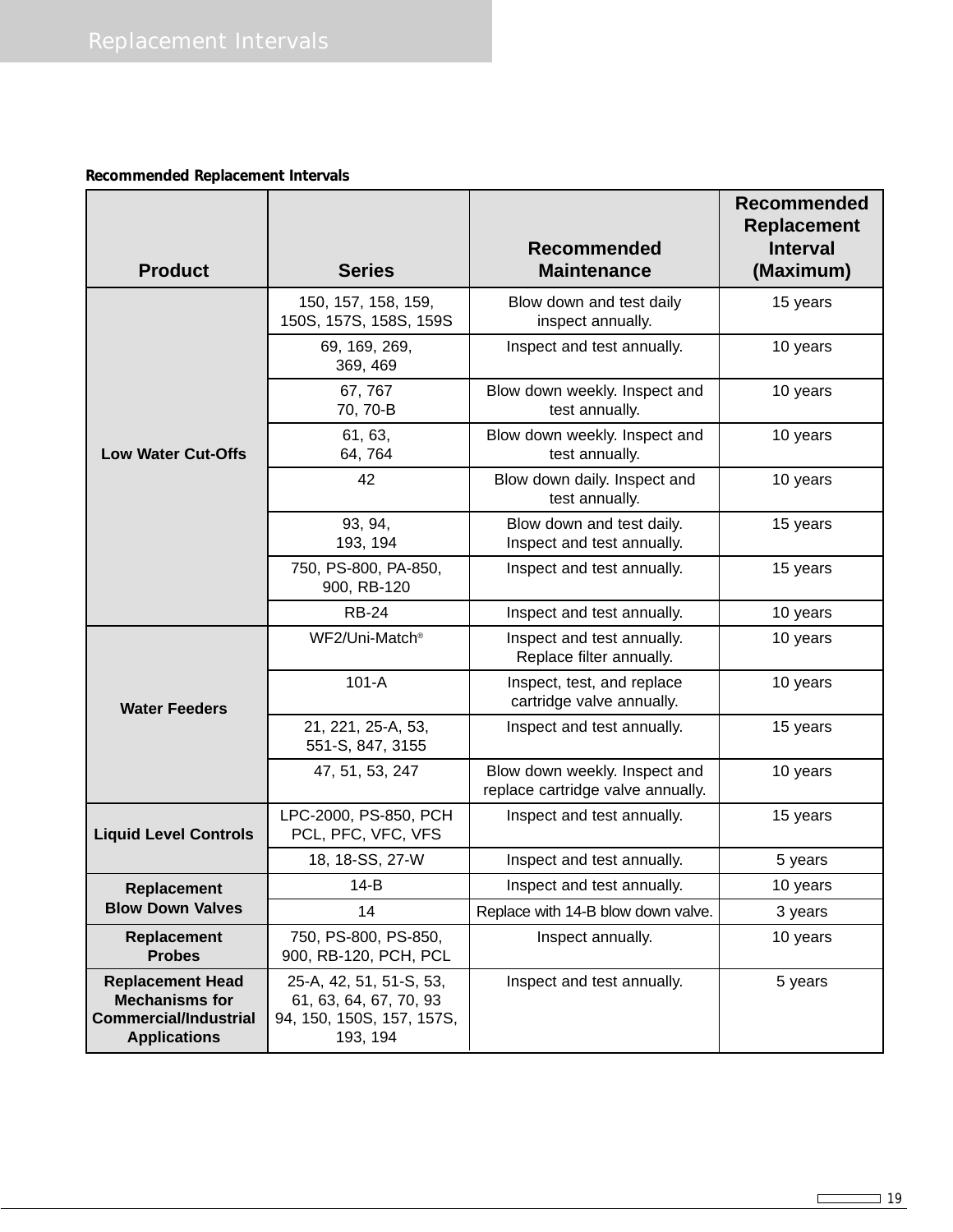# **Recommended Replacement Intervals**

| <b>Product</b>                                                                                          | <b>Series</b>                                                                              | <b>Recommended</b><br><b>Maintenance</b>                           | <b>Recommended</b><br>Replacement<br><b>Interval</b><br>(Maximum) |
|---------------------------------------------------------------------------------------------------------|--------------------------------------------------------------------------------------------|--------------------------------------------------------------------|-------------------------------------------------------------------|
|                                                                                                         | 150, 157, 158, 159,<br>150S, 157S, 158S, 159S                                              | Blow down and test daily<br>inspect annually.                      | 15 years                                                          |
|                                                                                                         | 69, 169, 269,<br>369, 469                                                                  | Inspect and test annually.                                         | 10 years                                                          |
|                                                                                                         | 67,767<br>70, 70-B                                                                         | Blow down weekly. Inspect and<br>test annually.                    | 10 years                                                          |
| <b>Low Water Cut-Offs</b>                                                                               | 61, 63,<br>64, 764                                                                         | Blow down weekly. Inspect and<br>test annually.                    | 10 years                                                          |
|                                                                                                         | 42                                                                                         | Blow down daily. Inspect and<br>test annually.                     | 10 years                                                          |
|                                                                                                         | 93, 94,<br>193, 194                                                                        | Blow down and test daily.<br>Inspect and test annually.            | 15 years                                                          |
|                                                                                                         | 750, PS-800, PA-850,<br>900, RB-120                                                        | Inspect and test annually.                                         | 15 years                                                          |
|                                                                                                         | <b>RB-24</b>                                                                               | Inspect and test annually.                                         | 10 years                                                          |
| <b>Water Feeders</b>                                                                                    | WF2/Uni-Match <sup>®</sup>                                                                 | Inspect and test annually.<br>Replace filter annually.             | 10 years                                                          |
|                                                                                                         | $101 - A$                                                                                  | Inspect, test, and replace<br>cartridge valve annually.            | 10 years                                                          |
|                                                                                                         | 21, 221, 25-A, 53,<br>551-S, 847, 3155                                                     | Inspect and test annually.                                         | 15 years                                                          |
|                                                                                                         | 47, 51, 53, 247                                                                            | Blow down weekly. Inspect and<br>replace cartridge valve annually. | 10 years                                                          |
| <b>Liquid Level Controls</b>                                                                            | LPC-2000, PS-850, PCH<br>PCL, PFC, VFC, VFS                                                | Inspect and test annually.                                         | 15 years                                                          |
|                                                                                                         | 18, 18-SS, 27-W                                                                            | Inspect and test annually.                                         | 5 years                                                           |
| Replacement                                                                                             | $14-B$                                                                                     | Inspect and test annually.                                         | 10 years                                                          |
| <b>Blow Down Valves</b>                                                                                 | 14                                                                                         | Replace with 14-B blow down valve.                                 | 3 years                                                           |
| <b>Replacement</b><br><b>Probes</b>                                                                     | 750, PS-800, PS-850,<br>900, RB-120, PCH, PCL                                              | Inspect annually.                                                  | 10 years                                                          |
| <b>Replacement Head</b><br><b>Mechanisms for</b><br><b>Commercial/Industrial</b><br><b>Applications</b> | 25-A, 42, 51, 51-S, 53,<br>61, 63, 64, 67, 70, 93<br>94, 150, 150S, 157, 157S,<br>193, 194 | Inspect and test annually.                                         | 5 years                                                           |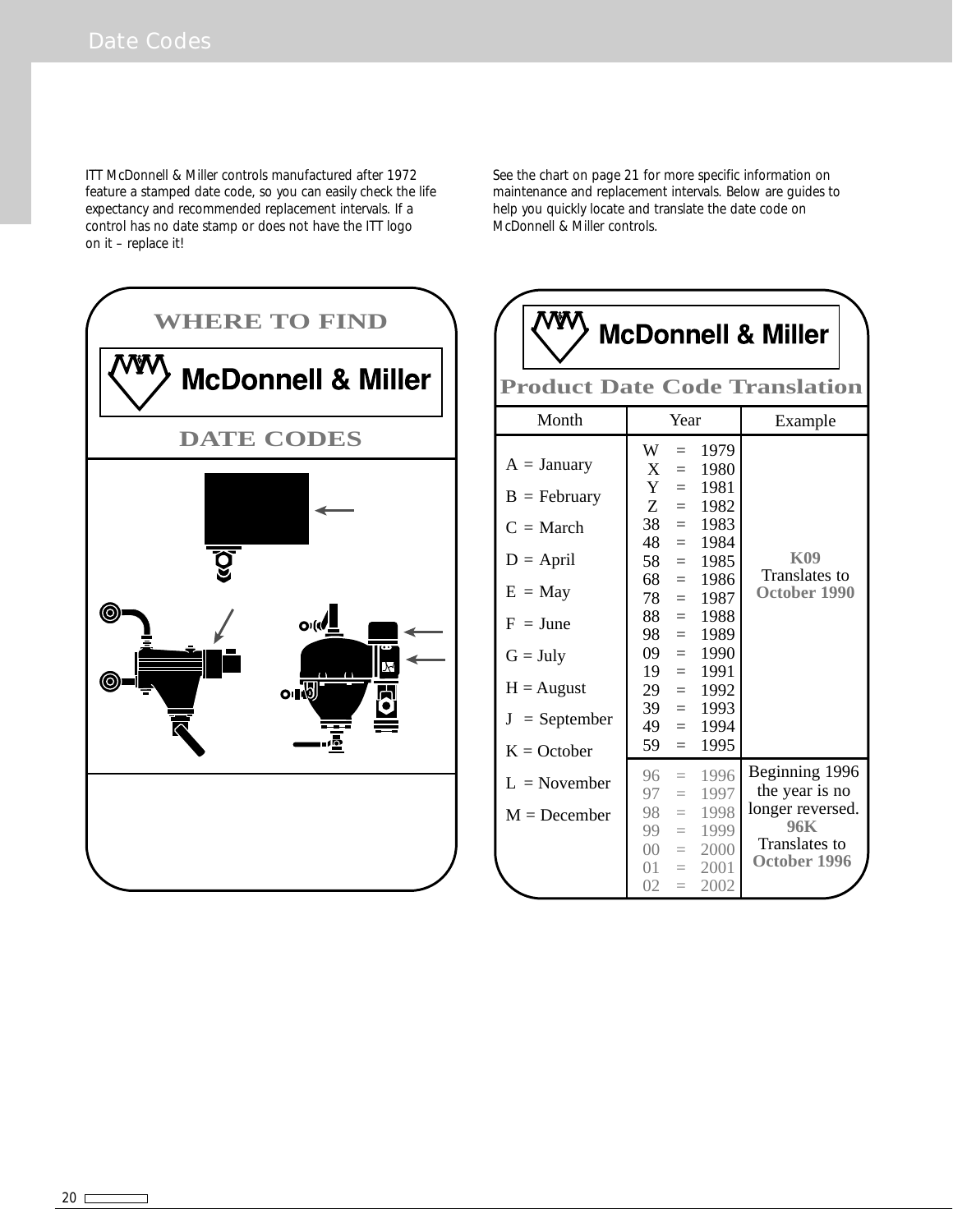ITT McDonnell & Miller controls manufactured after 1972 feature a stamped date code, so you can easily check the life expectancy and recommended replacement intervals. If a control has no date stamp or does not have the ITT logo on it – replace it!



See the chart on page 21 for more specific information on maintenance and replacement intervals. Below are guides to help you quickly locate and translate the date code on McDonnell & Miller controls.

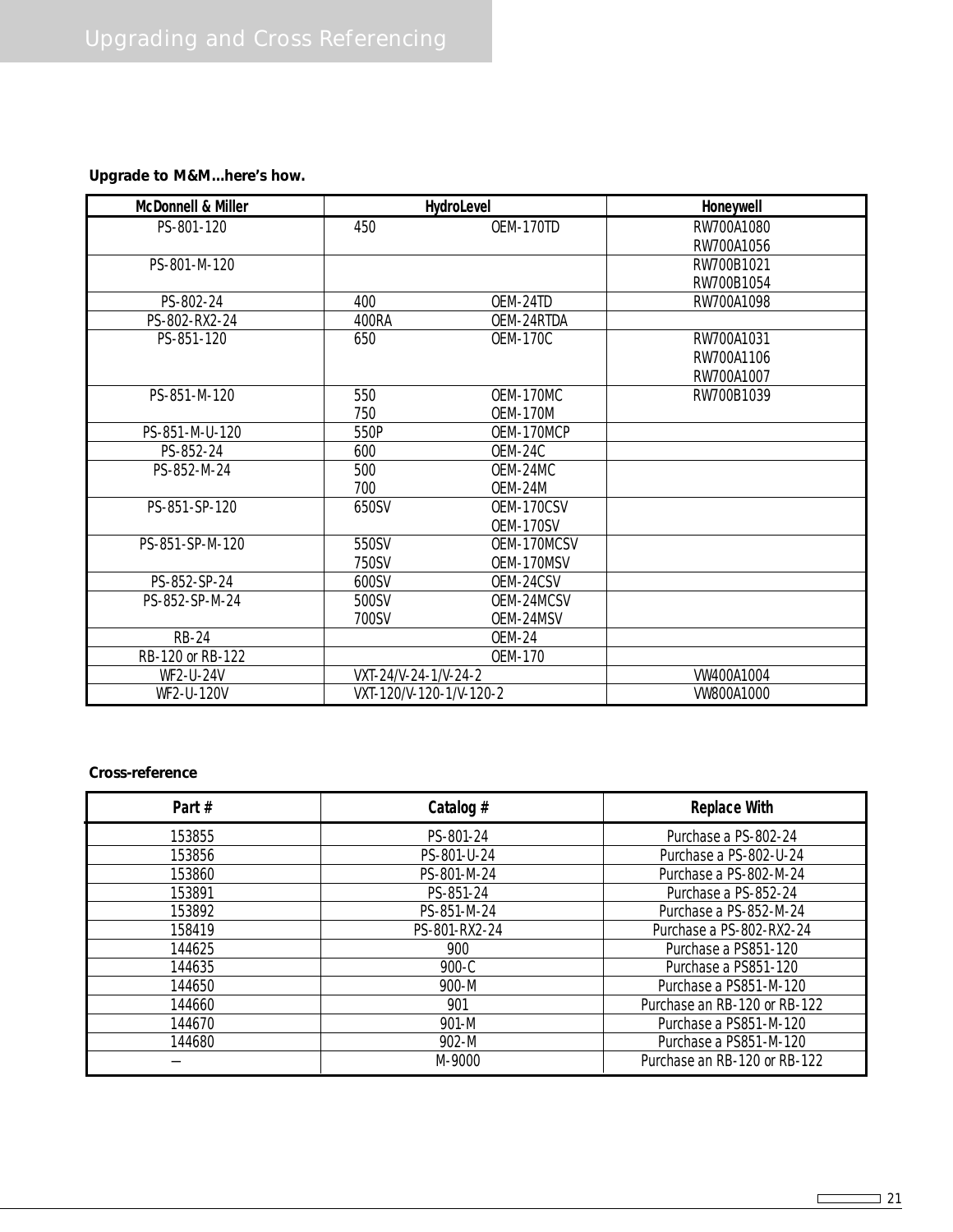# **Upgrade to M&M...here's how.**

| <b>McDonnell &amp; Miller</b> | <b>HydroLevel</b>       |                 | Honeywell        |
|-------------------------------|-------------------------|-----------------|------------------|
| PS-801-120                    | 450                     | OEM-170TD       | RW700A1080       |
|                               |                         |                 | RW700A1056       |
| PS-801-M-120                  |                         |                 | RW700B1021       |
|                               |                         |                 | RW700B1054       |
| PS-802-24                     | 400                     | OEM-24TD        | RW700A1098       |
| PS-802-RX2-24                 | 400RA                   | OEM-24RTDA      |                  |
| PS-851-120                    | 650                     | <b>OEM-170C</b> | RW700A1031       |
|                               |                         |                 | RW700A1106       |
|                               |                         |                 | RW700A1007       |
| PS-851-M-120                  | 550                     | OEM-170MC       | RW700B1039       |
|                               | 750                     | <b>OEM-170M</b> |                  |
| PS-851-M-U-120                | 550P                    | OEM-170MCP      |                  |
| PS-852-24                     | 600                     | OEM-24C         |                  |
| PS-852-M-24                   | 500                     | OEM-24MC        |                  |
|                               | 700                     | OEM-24M         |                  |
| PS-851-SP-120                 | 650SV                   | OEM-170CSV      |                  |
|                               |                         | OEM-170SV       |                  |
| PS-851-SP-M-120               | 550SV                   | OEM-170MCSV     |                  |
|                               | 750SV                   | OEM-170MSV      |                  |
| PS-852-SP-24                  | 600SV                   | OEM-24CSV       |                  |
| PS-852-SP-M-24                | 500SV                   | OEM-24MCSV      |                  |
|                               | 700SV                   | OEM-24MSV       |                  |
| <b>RB-24</b>                  |                         | <b>OEM-24</b>   |                  |
| RB-120 or RB-122              |                         | OEM-170         |                  |
| WF2-U-24V                     | VXT-24/V-24-1/V-24-2    |                 | <b>W400A1004</b> |
| WF2-U-120V                    | VXT-120/V-120-1/V-120-2 |                 | <b>W800A1000</b> |

#### **Cross-reference**

| Part#  | Catalog $#$   | <b>Replace With</b>          |
|--------|---------------|------------------------------|
| 153855 | PS-801-24     | Purchase a PS-802-24         |
| 153856 | PS-801-U-24   | Purchase a PS-802-U-24       |
| 153860 | PS-801-M-24   | Purchase a PS-802-M-24       |
| 153891 | PS-851-24     | Purchase a PS-852-24         |
| 153892 | PS-851-M-24   | Purchase a PS-852-M-24       |
| 158419 | PS-801-RX2-24 | Purchase a PS-802-RX2-24     |
| 144625 | 900           | Purchase a PS851-120         |
| 144635 | $900-C$       | Purchase a PS851-120         |
| 144650 | 900-M         | Purchase a PS851-M-120       |
| 144660 | 901           | Purchase an RB-120 or RB-122 |
| 144670 | 901-M         | Purchase a PS851-M-120       |
| 144680 | 902-M         | Purchase a PS851-M-120       |
|        | M-9000        | Purchase an RB-120 or RB-122 |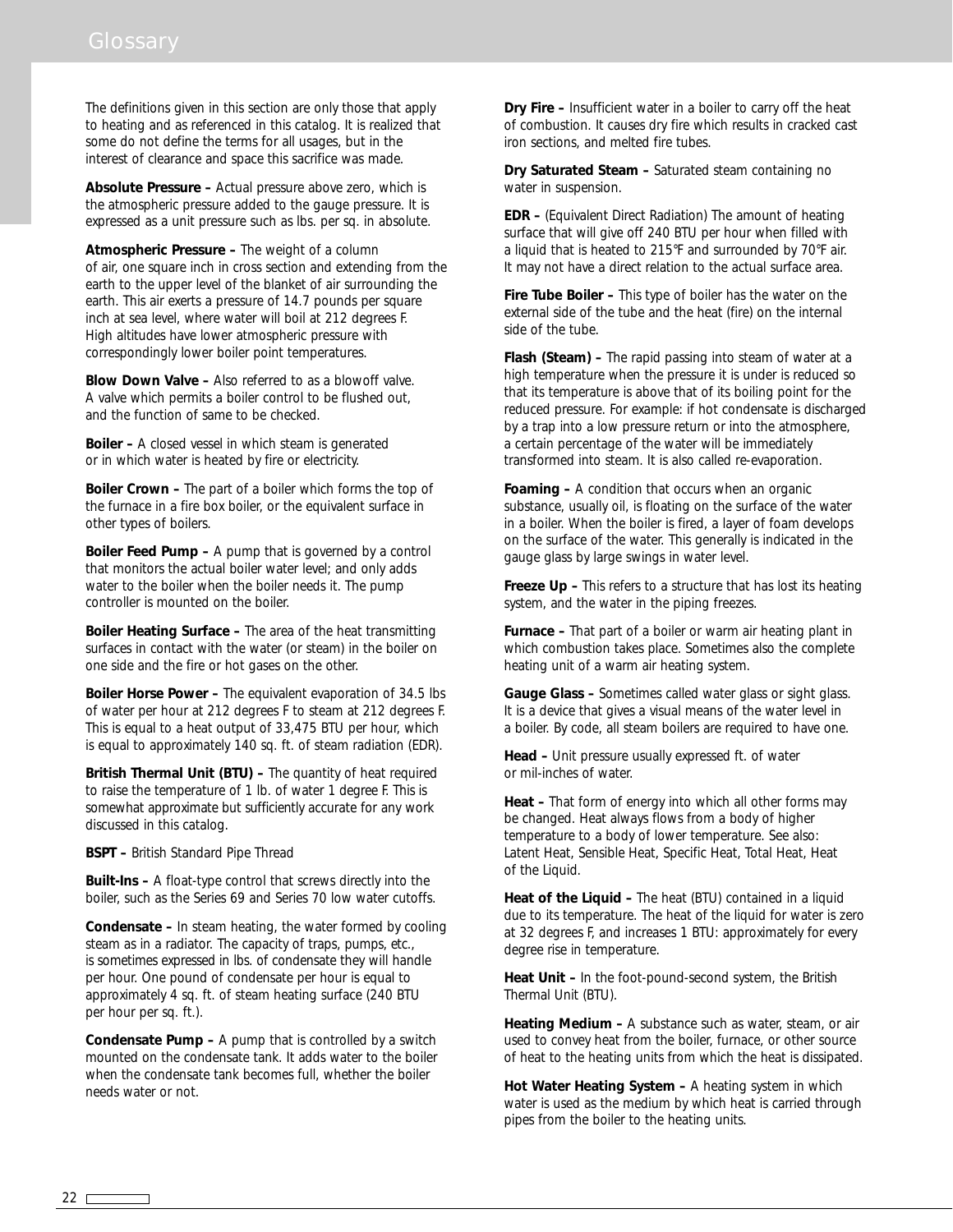The definitions given in this section are only those that apply to heating and as referenced in this catalog. It is realized that some do not define the terms for all usages, but in the interest of clearance and space this sacrifice was made.

**Absolute Pressure –** Actual pressure above zero, which is the atmospheric pressure added to the gauge pressure. It is expressed as a unit pressure such as lbs. per sq. in absolute.

**Atmospheric Pressure –** The weight of a column of air, one square inch in cross section and extending from the earth to the upper level of the blanket of air surrounding the earth. This air exerts a pressure of 14.7 pounds per square inch at sea level, where water will boil at 212 degrees F. High altitudes have lower atmospheric pressure with correspondingly lower boiler point temperatures.

**Blow Down Valve –** Also referred to as a blowoff valve. A valve which permits a boiler control to be flushed out, and the function of same to be checked.

**Boiler –** A closed vessel in which steam is generated or in which water is heated by fire or electricity.

**Boiler Crown –** The part of a boiler which forms the top of the furnace in a fire box boiler, or the equivalent surface in other types of boilers.

**Boiler Feed Pump –** A pump that is governed by a control that monitors the actual boiler water level; and only adds water to the boiler when the boiler needs it. The pump controller is mounted on the boiler.

**Boiler Heating Surface –** The area of the heat transmitting surfaces in contact with the water (or steam) in the boiler on one side and the fire or hot gases on the other.

**Boiler Horse Power –** The equivalent evaporation of 34.5 lbs of water per hour at 212 degrees F to steam at 212 degrees F. This is equal to a heat output of 33,475 BTU per hour, which is equal to approximately 140 sq. ft. of steam radiation (EDR).

**British Thermal Unit (BTU) –** The quantity of heat required to raise the temperature of 1 lb. of water 1 degree F. This is somewhat approximate but sufficiently accurate for any work discussed in this catalog.

**BSPT –** British Standard Pipe Thread

**Built-Ins –** A float-type control that screws directly into the boiler, such as the Series 69 and Series 70 low water cutoffs.

**Condensate –** In steam heating, the water formed by cooling steam as in a radiator. The capacity of traps, pumps, etc., is sometimes expressed in lbs. of condensate they will handle per hour. One pound of condensate per hour is equal to approximately 4 sq. ft. of steam heating surface (240 BTU per hour per sq. ft.).

**Condensate Pump –** A pump that is controlled by a switch mounted on the condensate tank. It adds water to the boiler when the condensate tank becomes full, whether the boiler needs water or not.

**Dry Fire –** Insufficient water in a boiler to carry off the heat of combustion. It causes dry fire which results in cracked cast iron sections, and melted fire tubes.

**Dry Saturated Steam –** Saturated steam containing no water in suspension.

**EDR –** (Equivalent Direct Radiation) The amount of heating surface that will give off 240 BTU per hour when filled with a liquid that is heated to 215°F and surrounded by 70°F air. It may not have a direct relation to the actual surface area.

**Fire Tube Boiler –** This type of boiler has the water on the external side of the tube and the heat (fire) on the internal side of the tube.

**Flash (Steam) –** The rapid passing into steam of water at a high temperature when the pressure it is under is reduced so that its temperature is above that of its boiling point for the reduced pressure. For example: if hot condensate is discharged by a trap into a low pressure return or into the atmosphere, a certain percentage of the water will be immediately transformed into steam. It is also called re-evaporation.

**Foaming –** A condition that occurs when an organic substance, usually oil, is floating on the surface of the water in a boiler. When the boiler is fired, a layer of foam develops on the surface of the water. This generally is indicated in the gauge glass by large swings in water level.

**Freeze Up –** This refers to a structure that has lost its heating system, and the water in the piping freezes.

**Furnace –** That part of a boiler or warm air heating plant in which combustion takes place. Sometimes also the complete heating unit of a warm air heating system.

**Gauge Glass –** Sometimes called water glass or sight glass. It is a device that gives a visual means of the water level in a boiler. By code, all steam boilers are required to have one.

**Head –** Unit pressure usually expressed ft. of water or mil-inches of water.

**Heat –** That form of energy into which all other forms may be changed. Heat always flows from a body of higher temperature to a body of lower temperature. See also: Latent Heat, Sensible Heat, Specific Heat, Total Heat, Heat of the Liquid.

**Heat of the Liquid –** The heat (BTU) contained in a liquid due to its temperature. The heat of the liquid for water is zero at 32 degrees F, and increases 1 BTU: approximately for every degree rise in temperature.

**Heat Unit –** In the foot-pound-second system, the British Thermal Unit (BTU).

**Heating Medium –** A substance such as water, steam, or air used to convey heat from the boiler, furnace, or other source of heat to the heating units from which the heat is dissipated.

**Hot Water Heating System –** A heating system in which water is used as the medium by which heat is carried through pipes from the boiler to the heating units.

 $22 \overline{}$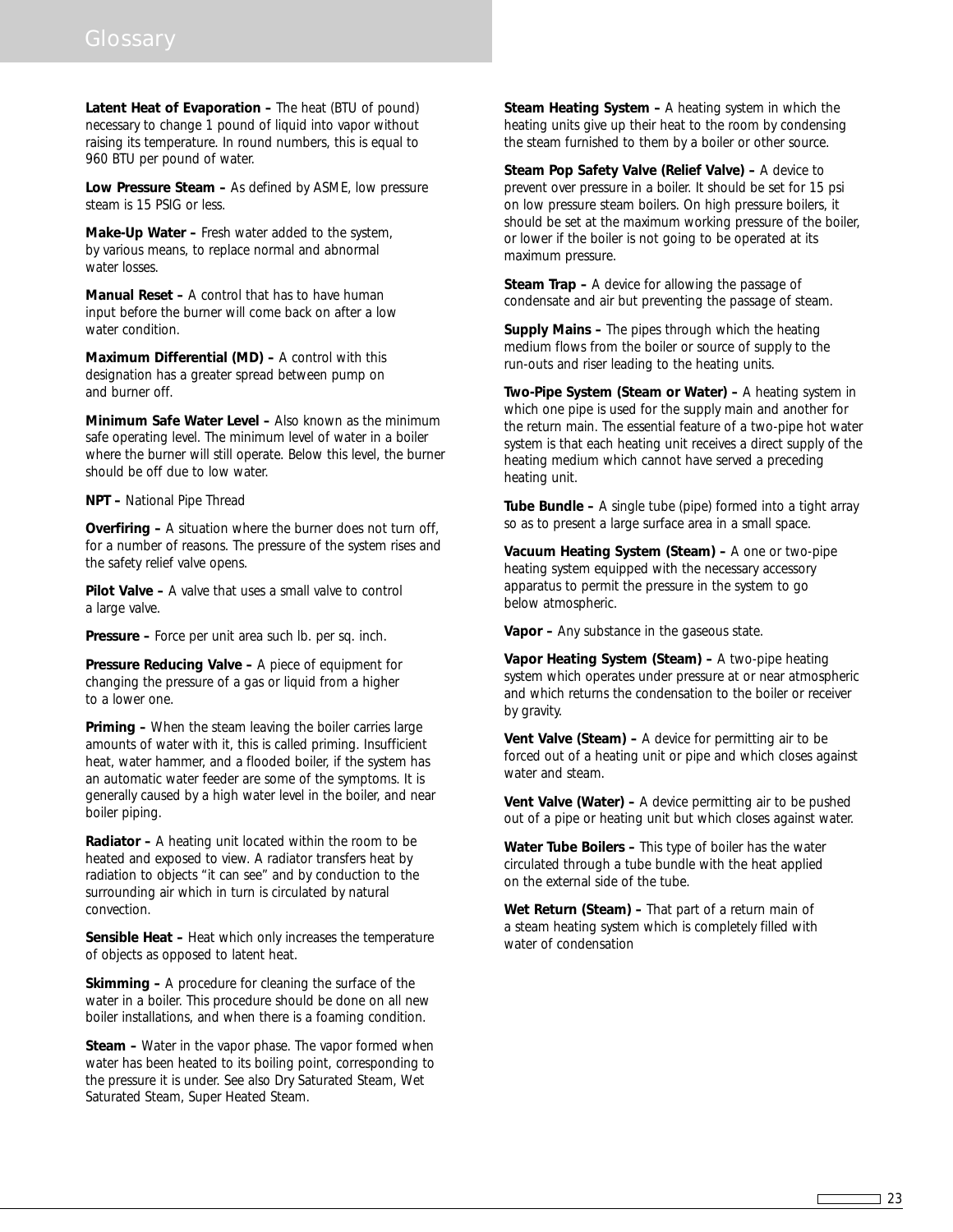**Latent Heat of Evaporation –** The heat (BTU of pound) necessary to change 1 pound of liquid into vapor without raising its temperature. In round numbers, this is equal to 960 BTU per pound of water.

**Low Pressure Steam –** As defined by ASME, low pressure steam is 15 PSIG or less.

**Make-Up Water –** Fresh water added to the system, by various means, to replace normal and abnormal water losses.

**Manual Reset –** A control that has to have human input before the burner will come back on after a low water condition.

**Maximum Differential (MD) –** A control with this designation has a greater spread between pump on and burner off.

**Minimum Safe Water Level –** Also known as the minimum safe operating level. The minimum level of water in a boiler where the burner will still operate. Below this level, the burner should be off due to low water.

**NPT –** National Pipe Thread

**Overfiring –** A situation where the burner does not turn off, for a number of reasons. The pressure of the system rises and the safety relief valve opens.

**Pilot Valve –** A valve that uses a small valve to control a large valve.

**Pressure –** Force per unit area such lb. per sq. inch.

**Pressure Reducing Valve –** A piece of equipment for changing the pressure of a gas or liquid from a higher to a lower one.

**Priming –** When the steam leaving the boiler carries large amounts of water with it, this is called priming. Insufficient heat, water hammer, and a flooded boiler, if the system has an automatic water feeder are some of the symptoms. It is generally caused by a high water level in the boiler, and near boiler piping.

**Radiator –** A heating unit located within the room to be heated and exposed to view. A radiator transfers heat by radiation to objects "it can see" and by conduction to the surrounding air which in turn is circulated by natural convection.

**Sensible Heat –** Heat which only increases the temperature of objects as opposed to latent heat.

**Skimming –** A procedure for cleaning the surface of the water in a boiler. This procedure should be done on all new boiler installations, and when there is a foaming condition.

**Steam –** Water in the vapor phase. The vapor formed when water has been heated to its boiling point, corresponding to the pressure it is under. See also Dry Saturated Steam, Wet Saturated Steam, Super Heated Steam.

**Steam Heating System –** A heating system in which the heating units give up their heat to the room by condensing the steam furnished to them by a boiler or other source.

**Steam Pop Safety Valve (Relief Valve) –** A device to prevent over pressure in a boiler. It should be set for 15 psi on low pressure steam boilers. On high pressure boilers, it should be set at the maximum working pressure of the boiler, or lower if the boiler is not going to be operated at its maximum pressure.

**Steam Trap –** A device for allowing the passage of condensate and air but preventing the passage of steam.

**Supply Mains –** The pipes through which the heating medium flows from the boiler or source of supply to the run-outs and riser leading to the heating units.

**Two-Pipe System (Steam or Water) –** A heating system in which one pipe is used for the supply main and another for the return main. The essential feature of a two-pipe hot water system is that each heating unit receives a direct supply of the heating medium which cannot have served a preceding heating unit.

**Tube Bundle –** A single tube (pipe) formed into a tight array so as to present a large surface area in a small space.

**Vacuum Heating System (Steam) –** A one or two-pipe heating system equipped with the necessary accessory apparatus to permit the pressure in the system to go below atmospheric.

**Vapor –** Any substance in the gaseous state.

**Vapor Heating System (Steam) –** A two-pipe heating system which operates under pressure at or near atmospheric and which returns the condensation to the boiler or receiver by gravity.

**Vent Valve (Steam) –** A device for permitting air to be forced out of a heating unit or pipe and which closes against water and steam.

**Vent Valve (Water) –** A device permitting air to be pushed out of a pipe or heating unit but which closes against water.

**Water Tube Boilers –** This type of boiler has the water circulated through a tube bundle with the heat applied on the external side of the tube.

**Wet Return (Steam) –** That part of a return main of a steam heating system which is completely filled with water of condensation